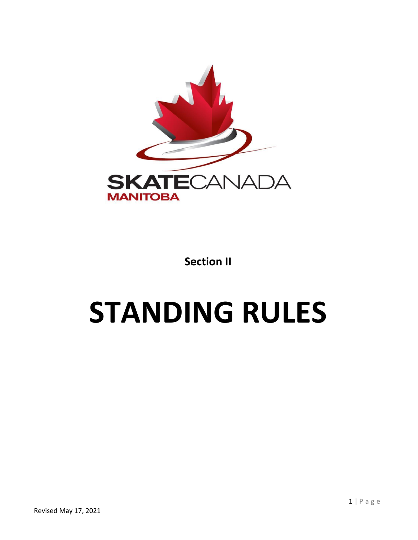

**Section II**

# **STANDING RULES**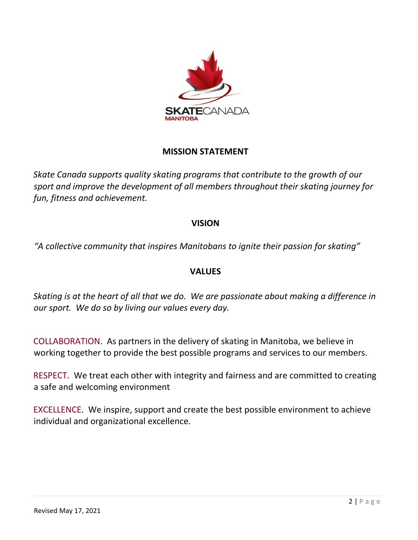

# **MISSION STATEMENT**

*Skate Canada supports quality skating programs that contribute to the growth of our sport and improve the development of all members throughout their skating journey for fun, fitness and achievement.* 

# **VISION**

*"A collective community that inspires Manitobans to ignite their passion for skating"* 

# **VALUES**

*Skating is at the heart of all that we do. We are passionate about making a difference in our sport. We do so by living our values every day.* 

COLLABORATION. As partners in the delivery of skating in Manitoba, we believe in working together to provide the best possible programs and services to our members.

RESPECT. We treat each other with integrity and fairness and are committed to creating a safe and welcoming environment

EXCELLENCE. We inspire, support and create the best possible environment to achieve individual and organizational excellence.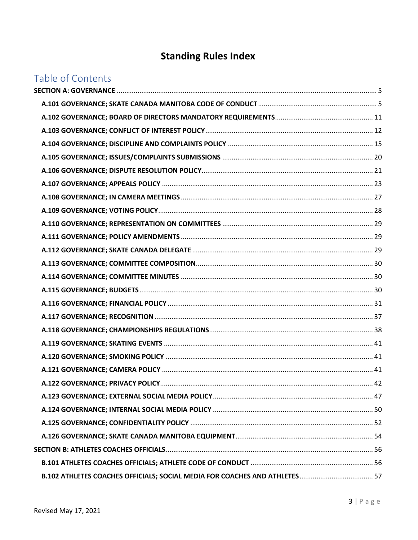# **Standing Rules Index**

# Table of Contents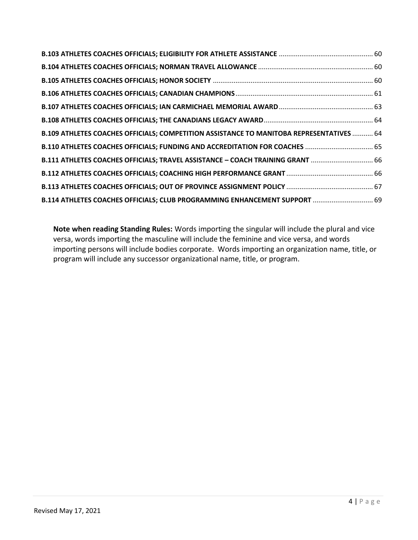| <b>B.109 ATHLETES COACHES OFFICIALS; COMPETITION ASSISTANCE TO MANITOBA REPRESENTATIVES  64</b> |  |
|-------------------------------------------------------------------------------------------------|--|
| B.110 ATHLETES COACHES OFFICIALS; FUNDING AND ACCREDITATION FOR COACHES  65                     |  |
| B.111 ATHLETES COACHES OFFICIALS; TRAVEL ASSISTANCE - COACH TRAINING GRANT  66                  |  |
|                                                                                                 |  |
|                                                                                                 |  |
| B.114 ATHLETES COACHES OFFICIALS; CLUB PROGRAMMING ENHANCEMENT SUPPORT  69                      |  |

**Note when reading Standing Rules:** Words importing the singular will include the plural and vice versa, words importing the masculine will include the feminine and vice versa, and words importing persons will include bodies corporate. Words importing an organization name, title, or program will include any successor organizational name, title, or program.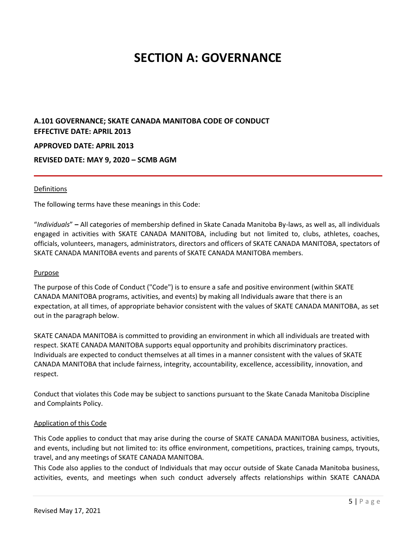# **SECTION A: GOVERNANCE**

# <span id="page-4-1"></span><span id="page-4-0"></span>**A.101 GOVERNANCE; SKATE CANADA MANITOBA CODE OF CONDUCT EFFECTIVE DATE: APRIL 2013 APPROVED DATE: APRIL 2013 REVISED DATE: MAY 9, 2020 – SCMB AGM**

#### Definitions

The following terms have these meanings in this Code:

"*Individuals*" **–** All categories of membership defined in Skate Canada Manitoba By-laws, as well as, all individuals engaged in activities with SKATE CANADA MANITOBA, including but not limited to, clubs, athletes, coaches, officials, volunteers, managers, administrators, directors and officers of SKATE CANADA MANITOBA, spectators of SKATE CANADA MANITOBA events and parents of SKATE CANADA MANITOBA members.

#### **Purpose**

The purpose of this Code of Conduct ("Code") is to ensure a safe and positive environment (within SKATE CANADA MANITOBA programs, activities, and events) by making all Individuals aware that there is an expectation, at all times, of appropriate behavior consistent with the values of SKATE CANADA MANITOBA, as set out in the paragraph below.

SKATE CANADA MANITOBA is committed to providing an environment in which all individuals are treated with respect. SKATE CANADA MANITOBA supports equal opportunity and prohibits discriminatory practices. Individuals are expected to conduct themselves at all times in a manner consistent with the values of SKATE CANADA MANITOBA that include fairness, integrity, accountability, excellence, accessibility, innovation, and respect.

Conduct that violates this Code may be subject to sanctions pursuant to the Skate Canada Manitoba Discipline and Complaints Policy.

#### Application of this Code

This Code applies to conduct that may arise during the course of SKATE CANADA MANITOBA business, activities, and events, including but not limited to: its office environment, competitions, practices, training camps, tryouts, travel, and any meetings of SKATE CANADA MANITOBA.

This Code also applies to the conduct of Individuals that may occur outside of Skate Canada Manitoba business, activities, events, and meetings when such conduct adversely affects relationships within SKATE CANADA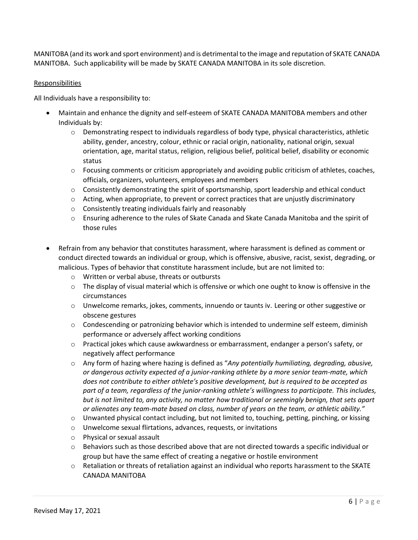MANITOBA (and its work and sport environment) and is detrimental to the image and reputation of SKATE CANADA MANITOBA. Such applicability will be made by SKATE CANADA MANITOBA in its sole discretion.

# Responsibilities

All Individuals have a responsibility to:

- Maintain and enhance the dignity and self-esteem of SKATE CANADA MANITOBA members and other Individuals by:
	- $\circ$  Demonstrating respect to individuals regardless of body type, physical characteristics, athletic ability, gender, ancestry, colour, ethnic or racial origin, nationality, national origin, sexual orientation, age, marital status, religion, religious belief, political belief, disability or economic status
	- $\circ$  Focusing comments or criticism appropriately and avoiding public criticism of athletes, coaches, officials, organizers, volunteers, employees and members
	- $\circ$  Consistently demonstrating the spirit of sportsmanship, sport leadership and ethical conduct
	- $\circ$  Acting, when appropriate, to prevent or correct practices that are unjustly discriminatory
	- o Consistently treating individuals fairly and reasonably
	- $\circ$  Ensuring adherence to the rules of Skate Canada and Skate Canada Manitoba and the spirit of those rules
- Refrain from any behavior that constitutes harassment, where harassment is defined as comment or conduct directed towards an individual or group, which is offensive, abusive, racist, sexist, degrading, or malicious. Types of behavior that constitute harassment include, but are not limited to:
	- o Written or verbal abuse, threats or outbursts
	- $\circ$  The display of visual material which is offensive or which one ought to know is offensive in the circumstances
	- $\circ$  Unwelcome remarks, jokes, comments, innuendo or taunts iv. Leering or other suggestive or obscene gestures
	- o Condescending or patronizing behavior which is intended to undermine self esteem, diminish performance or adversely affect working conditions
	- o Practical jokes which cause awkwardness or embarrassment, endanger a person's safety, or negatively affect performance
	- o Any form of hazing where hazing is defined as "*Any potentially humiliating, degrading, abusive, or dangerous activity expected of a junior-ranking athlete by a more senior team-mate, which does not contribute to either athlete's positive development, but is required to be accepted as part of a team, regardless of the junior-ranking athlete's willingness to participate. This includes, but is not limited to, any activity, no matter how traditional or seemingly benign, that sets apart or alienates any team-mate based on class, number of years on the team, or athletic ability."*
	- o Unwanted physical contact including, but not limited to, touching, petting, pinching, or kissing
	- o Unwelcome sexual flirtations, advances, requests, or invitations
	- o Physical or sexual assault
	- $\circ$  Behaviors such as those described above that are not directed towards a specific individual or group but have the same effect of creating a negative or hostile environment
	- o Retaliation or threats of retaliation against an individual who reports harassment to the SKATE CANADA MANITOBA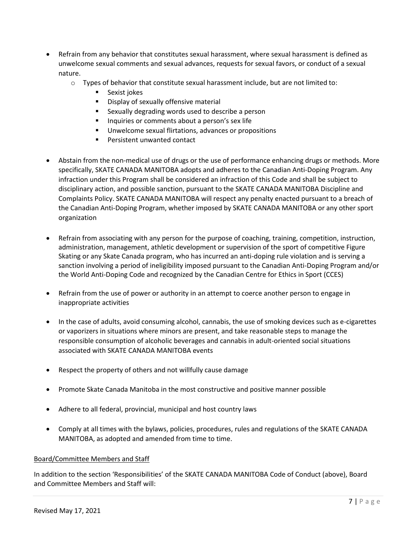- Refrain from any behavior that constitutes sexual harassment, where sexual harassment is defined as unwelcome sexual comments and sexual advances, requests for sexual favors, or conduct of a sexual nature.
	- $\circ$  Types of behavior that constitute sexual harassment include, but are not limited to:
		- Sexist jokes
		- Display of sexually offensive material
		- Sexually degrading words used to describe a person
		- Inquiries or comments about a person's sex life
		- Unwelcome sexual flirtations, advances or propositions
		- Persistent unwanted contact
- Abstain from the non-medical use of drugs or the use of performance enhancing drugs or methods. More specifically, SKATE CANADA MANITOBA adopts and adheres to the Canadian Anti-Doping Program. Any infraction under this Program shall be considered an infraction of this Code and shall be subject to disciplinary action, and possible sanction, pursuant to the SKATE CANADA MANITOBA Discipline and Complaints Policy. SKATE CANADA MANITOBA will respect any penalty enacted pursuant to a breach of the Canadian Anti-Doping Program, whether imposed by SKATE CANADA MANITOBA or any other sport organization
- Refrain from associating with any person for the purpose of coaching, training, competition, instruction, administration, management, athletic development or supervision of the sport of competitive Figure Skating or any Skate Canada program, who has incurred an anti-doping rule violation and is serving a sanction involving a period of ineligibility imposed pursuant to the Canadian Anti-Doping Program and/or the World Anti-Doping Code and recognized by the Canadian Centre for Ethics in Sport (CCES)
- Refrain from the use of power or authority in an attempt to coerce another person to engage in inappropriate activities
- In the case of adults, avoid consuming alcohol, cannabis, the use of smoking devices such as e-cigarettes or vaporizers in situations where minors are present, and take reasonable steps to manage the responsible consumption of alcoholic beverages and cannabis in adult-oriented social situations associated with SKATE CANADA MANITOBA events
- Respect the property of others and not willfully cause damage
- Promote Skate Canada Manitoba in the most constructive and positive manner possible
- Adhere to all federal, provincial, municipal and host country laws
- Comply at all times with the bylaws, policies, procedures, rules and regulations of the SKATE CANADA MANITOBA, as adopted and amended from time to time.

# Board/Committee Members and Staff

In addition to the section 'Responsibilities' of the SKATE CANADA MANITOBA Code of Conduct (above), Board and Committee Members and Staff will: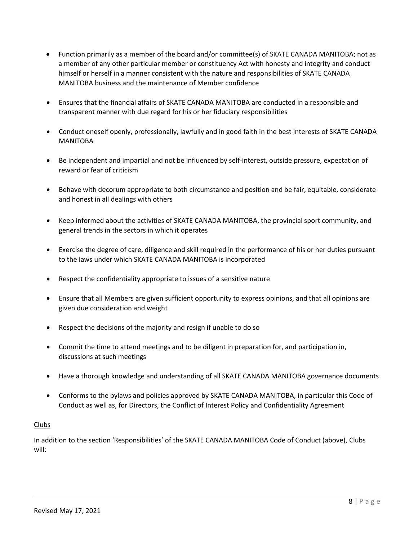- Function primarily as a member of the board and/or committee(s) of SKATE CANADA MANITOBA; not as a member of any other particular member or constituency Act with honesty and integrity and conduct himself or herself in a manner consistent with the nature and responsibilities of SKATE CANADA MANITOBA business and the maintenance of Member confidence
- Ensures that the financial affairs of SKATE CANADA MANITOBA are conducted in a responsible and transparent manner with due regard for his or her fiduciary responsibilities
- Conduct oneself openly, professionally, lawfully and in good faith in the best interests of SKATE CANADA MANITOBA
- Be independent and impartial and not be influenced by self-interest, outside pressure, expectation of reward or fear of criticism
- Behave with decorum appropriate to both circumstance and position and be fair, equitable, considerate and honest in all dealings with others
- Keep informed about the activities of SKATE CANADA MANITOBA, the provincial sport community, and general trends in the sectors in which it operates
- Exercise the degree of care, diligence and skill required in the performance of his or her duties pursuant to the laws under which SKATE CANADA MANITOBA is incorporated
- Respect the confidentiality appropriate to issues of a sensitive nature
- Ensure that all Members are given sufficient opportunity to express opinions, and that all opinions are given due consideration and weight
- Respect the decisions of the majority and resign if unable to do so
- Commit the time to attend meetings and to be diligent in preparation for, and participation in, discussions at such meetings
- Have a thorough knowledge and understanding of all SKATE CANADA MANITOBA governance documents
- Conforms to the bylaws and policies approved by SKATE CANADA MANITOBA, in particular this Code of Conduct as well as, for Directors, the Conflict of Interest Policy and Confidentiality Agreement

# Clubs

In addition to the section 'Responsibilities' of the SKATE CANADA MANITOBA Code of Conduct (above), Clubs will: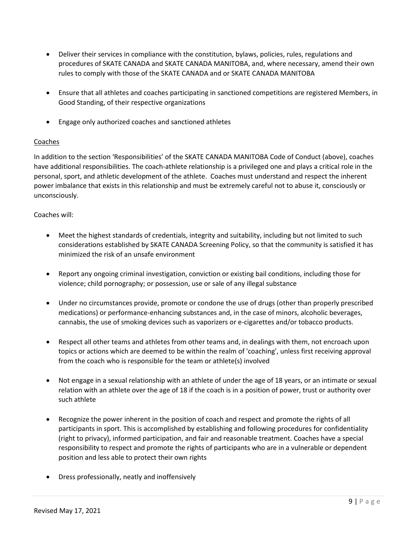- Deliver their services in compliance with the constitution, bylaws, policies, rules, regulations and procedures of SKATE CANADA and SKATE CANADA MANITOBA, and, where necessary, amend their own rules to comply with those of the SKATE CANADA and or SKATE CANADA MANITOBA
- Ensure that all athletes and coaches participating in sanctioned competitions are registered Members, in Good Standing, of their respective organizations
- Engage only authorized coaches and sanctioned athletes

# Coaches

In addition to the section 'Responsibilities' of the SKATE CANADA MANITOBA Code of Conduct (above), coaches have additional responsibilities. The coach-athlete relationship is a privileged one and plays a critical role in the personal, sport, and athletic development of the athlete. Coaches must understand and respect the inherent power imbalance that exists in this relationship and must be extremely careful not to abuse it, consciously or unconsciously.

# Coaches will:

- Meet the highest standards of credentials, integrity and suitability, including but not limited to such considerations established by SKATE CANADA Screening Policy, so that the community is satisfied it has minimized the risk of an unsafe environment
- Report any ongoing criminal investigation, conviction or existing bail conditions, including those for violence; child pornography; or possession, use or sale of any illegal substance
- Under no circumstances provide, promote or condone the use of drugs (other than properly prescribed medications) or performance-enhancing substances and, in the case of minors, alcoholic beverages, cannabis, the use of smoking devices such as vaporizers or e-cigarettes and/or tobacco products.
- Respect all other teams and athletes from other teams and, in dealings with them, not encroach upon topics or actions which are deemed to be within the realm of 'coaching', unless first receiving approval from the coach who is responsible for the team or athlete(s) involved
- Not engage in a sexual relationship with an athlete of under the age of 18 years, or an intimate or sexual relation with an athlete over the age of 18 if the coach is in a position of power, trust or authority over such athlete
- Recognize the power inherent in the position of coach and respect and promote the rights of all participants in sport. This is accomplished by establishing and following procedures for confidentiality (right to privacy), informed participation, and fair and reasonable treatment. Coaches have a special responsibility to respect and promote the rights of participants who are in a vulnerable or dependent position and less able to protect their own rights
- Dress professionally, neatly and inoffensively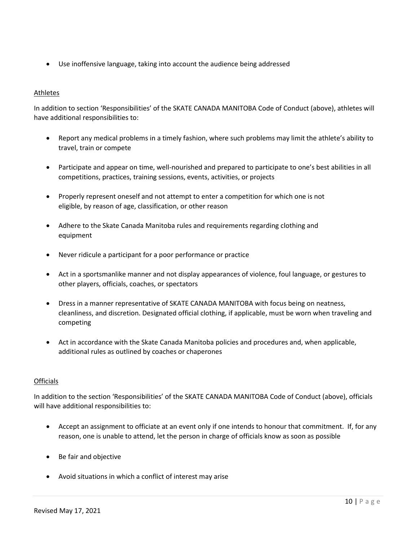• Use inoffensive language, taking into account the audience being addressed

# Athletes

In addition to section 'Responsibilities' of the SKATE CANADA MANITOBA Code of Conduct (above), athletes will have additional responsibilities to:

- Report any medical problems in a timely fashion, where such problems may limit the athlete's ability to travel, train or compete
- Participate and appear on time, well-nourished and prepared to participate to one's best abilities in all competitions, practices, training sessions, events, activities, or projects
- Properly represent oneself and not attempt to enter a competition for which one is not eligible, by reason of age, classification, or other reason
- Adhere to the Skate Canada Manitoba rules and requirements regarding clothing and equipment
- Never ridicule a participant for a poor performance or practice
- Act in a sportsmanlike manner and not display appearances of violence, foul language, or gestures to other players, officials, coaches, or spectators
- Dress in a manner representative of SKATE CANADA MANITOBA with focus being on neatness, cleanliness, and discretion. Designated official clothing, if applicable, must be worn when traveling and competing
- Act in accordance with the Skate Canada Manitoba policies and procedures and, when applicable, additional rules as outlined by coaches or chaperones

# **Officials**

In addition to the section 'Responsibilities' of the SKATE CANADA MANITOBA Code of Conduct (above), officials will have additional responsibilities to:

- Accept an assignment to officiate at an event only if one intends to honour that commitment. If, for any reason, one is unable to attend, let the person in charge of officials know as soon as possible
- Be fair and objective
- Avoid situations in which a conflict of interest may arise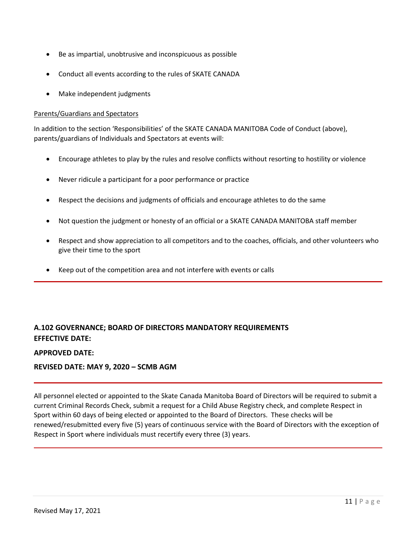- Be as impartial, unobtrusive and inconspicuous as possible
- Conduct all events according to the rules of SKATE CANADA
- Make independent judgments

# Parents/Guardians and Spectators

In addition to the section 'Responsibilities' of the SKATE CANADA MANITOBA Code of Conduct (above), parents/guardians of Individuals and Spectators at events will:

- Encourage athletes to play by the rules and resolve conflicts without resorting to hostility or violence
- Never ridicule a participant for a poor performance or practice
- Respect the decisions and judgments of officials and encourage athletes to do the same
- Not question the judgment or honesty of an official or a SKATE CANADA MANITOBA staff member
- Respect and show appreciation to all competitors and to the coaches, officials, and other volunteers who give their time to the sport
- Keep out of the competition area and not interfere with events or calls

# <span id="page-10-0"></span>**A.102 GOVERNANCE; BOARD OF DIRECTORS MANDATORY REQUIREMENTS EFFECTIVE DATE:**

# **APPROVED DATE:**

# **REVISED DATE: MAY 9, 2020 – SCMB AGM**

All personnel elected or appointed to the Skate Canada Manitoba Board of Directors will be required to submit a current Criminal Records Check, submit a request for a Child Abuse Registry check, and complete Respect in Sport within 60 days of being elected or appointed to the Board of Directors. These checks will be renewed/resubmitted every five (5) years of continuous service with the Board of Directors with the exception of Respect in Sport where individuals must recertify every three (3) years.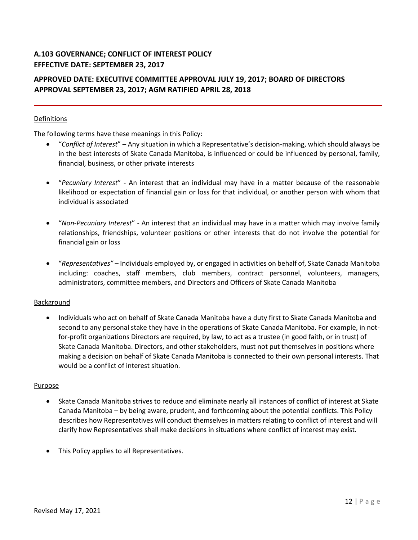# <span id="page-11-0"></span>**A.103 GOVERNANCE; CONFLICT OF INTEREST POLICY EFFECTIVE DATE: SEPTEMBER 23, 2017**

# **APPROVED DATE: EXECUTIVE COMMITTEE APPROVAL JULY 19, 2017; BOARD OF DIRECTORS APPROVAL SEPTEMBER 23, 2017; AGM RATIFIED APRIL 28, 2018**

# Definitions

The following terms have these meanings in this Policy:

- "*Conflict of Interest*" Any situation in which a Representative's decision-making, which should always be in the best interests of Skate Canada Manitoba, is influenced or could be influenced by personal, family, financial, business, or other private interests
- "*Pecuniary Interest*" An interest that an individual may have in a matter because of the reasonable likelihood or expectation of financial gain or loss for that individual, or another person with whom that individual is associated
- "*Non-Pecuniary Interest*" An interest that an individual may have in a matter which may involve family relationships, friendships, volunteer positions or other interests that do not involve the potential for financial gain or loss
- "*Representatives"* Individuals employed by, or engaged in activities on behalf of, Skate Canada Manitoba including: coaches, staff members, club members, contract personnel, volunteers, managers, administrators, committee members, and Directors and Officers of Skate Canada Manitoba

# Background

• Individuals who act on behalf of Skate Canada Manitoba have a duty first to Skate Canada Manitoba and second to any personal stake they have in the operations of Skate Canada Manitoba. For example, in notfor-profit organizations Directors are required, by law, to act as a trustee (in good faith, or in trust) of Skate Canada Manitoba. Directors, and other stakeholders, must not put themselves in positions where making a decision on behalf of Skate Canada Manitoba is connected to their own personal interests. That would be a conflict of interest situation.

# Purpose

- Skate Canada Manitoba strives to reduce and eliminate nearly all instances of conflict of interest at Skate Canada Manitoba – by being aware, prudent, and forthcoming about the potential conflicts. This Policy describes how Representatives will conduct themselves in matters relating to conflict of interest and will clarify how Representatives shall make decisions in situations where conflict of interest may exist.
- This Policy applies to all Representatives.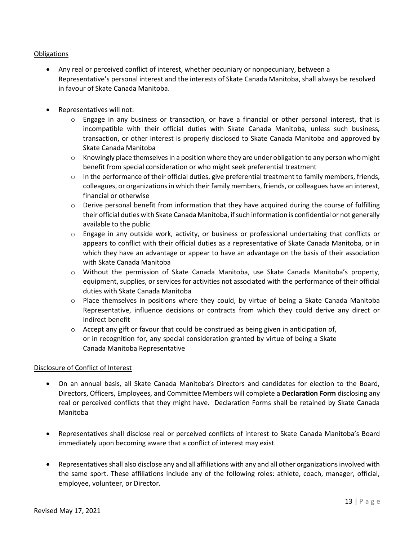# **Obligations**

- Any real or perceived conflict of interest, whether pecuniary or nonpecuniary, between a Representative's personal interest and the interests of Skate Canada Manitoba, shall always be resolved in favour of Skate Canada Manitoba.
- Representatives will not:
	- $\circ$  Engage in any business or transaction, or have a financial or other personal interest, that is incompatible with their official duties with Skate Canada Manitoba, unless such business, transaction, or other interest is properly disclosed to Skate Canada Manitoba and approved by Skate Canada Manitoba
	- $\circ$  Knowingly place themselves in a position where they are under obligation to any person who might benefit from special consideration or who might seek preferential treatment
	- $\circ$  In the performance of their official duties, give preferential treatment to family members, friends, colleagues, or organizations in which their family members, friends, or colleagues have an interest, financial or otherwise
	- $\circ$  Derive personal benefit from information that they have acquired during the course of fulfilling their official duties with Skate Canada Manitoba, if such information is confidential or not generally available to the public
	- $\circ$  Engage in any outside work, activity, or business or professional undertaking that conflicts or appears to conflict with their official duties as a representative of Skate Canada Manitoba, or in which they have an advantage or appear to have an advantage on the basis of their association with Skate Canada Manitoba
	- o Without the permission of Skate Canada Manitoba, use Skate Canada Manitoba's property, equipment, supplies, or services for activities not associated with the performance of their official duties with Skate Canada Manitoba
	- $\circ$  Place themselves in positions where they could, by virtue of being a Skate Canada Manitoba Representative, influence decisions or contracts from which they could derive any direct or indirect benefit
	- $\circ$  Accept any gift or favour that could be construed as being given in anticipation of, or in recognition for, any special consideration granted by virtue of being a Skate Canada Manitoba Representative

# Disclosure of Conflict of Interest

- On an annual basis, all Skate Canada Manitoba's Directors and candidates for election to the Board, Directors, Officers, Employees, and Committee Members will complete a **Declaration Form** disclosing any real or perceived conflicts that they might have. Declaration Forms shall be retained by Skate Canada Manitoba
- Representatives shall disclose real or perceived conflicts of interest to Skate Canada Manitoba's Board immediately upon becoming aware that a conflict of interest may exist.
- Representatives shall also disclose any and all affiliations with any and all other organizations involved with the same sport. These affiliations include any of the following roles: athlete, coach, manager, official, employee, volunteer, or Director.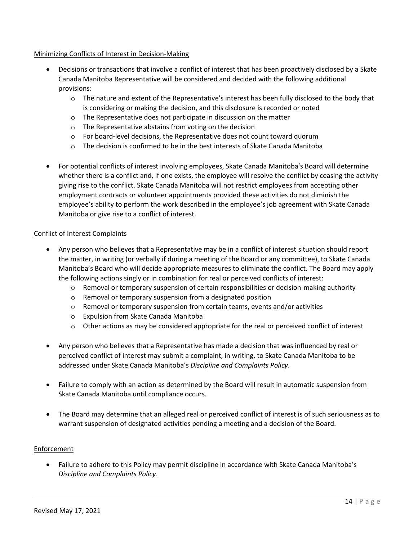# Minimizing Conflicts of Interest in Decision-Making

- Decisions or transactions that involve a conflict of interest that has been proactively disclosed by a Skate Canada Manitoba Representative will be considered and decided with the following additional provisions:
	- $\circ$  The nature and extent of the Representative's interest has been fully disclosed to the body that is considering or making the decision, and this disclosure is recorded or noted
	- o The Representative does not participate in discussion on the matter
	- o The Representative abstains from voting on the decision
	- $\circ$  For board-level decisions, the Representative does not count toward quorum
	- $\circ$  The decision is confirmed to be in the best interests of Skate Canada Manitoba
- For potential conflicts of interest involving employees, Skate Canada Manitoba's Board will determine whether there is a conflict and, if one exists, the employee will resolve the conflict by ceasing the activity giving rise to the conflict. Skate Canada Manitoba will not restrict employees from accepting other employment contracts or volunteer appointments provided these activities do not diminish the employee's ability to perform the work described in the employee's job agreement with Skate Canada Manitoba or give rise to a conflict of interest.

# Conflict of Interest Complaints

- Any person who believes that a Representative may be in a conflict of interest situation should report the matter, in writing (or verbally if during a meeting of the Board or any committee), to Skate Canada Manitoba's Board who will decide appropriate measures to eliminate the conflict. The Board may apply the following actions singly or in combination for real or perceived conflicts of interest:
	- $\circ$  Removal or temporary suspension of certain responsibilities or decision-making authority
	- o Removal or temporary suspension from a designated position
	- o Removal or temporary suspension from certain teams, events and/or activities
	- o Expulsion from Skate Canada Manitoba
	- $\circ$  Other actions as may be considered appropriate for the real or perceived conflict of interest
- Any person who believes that a Representative has made a decision that was influenced by real or perceived conflict of interest may submit a complaint, in writing, to Skate Canada Manitoba to be addressed under Skate Canada Manitoba's *Discipline and Complaints Policy*.
- Failure to comply with an action as determined by the Board will result in automatic suspension from Skate Canada Manitoba until compliance occurs.
- The Board may determine that an alleged real or perceived conflict of interest is of such seriousness as to warrant suspension of designated activities pending a meeting and a decision of the Board.

# Enforcement

• Failure to adhere to this Policy may permit discipline in accordance with Skate Canada Manitoba's *Discipline and Complaints Policy*.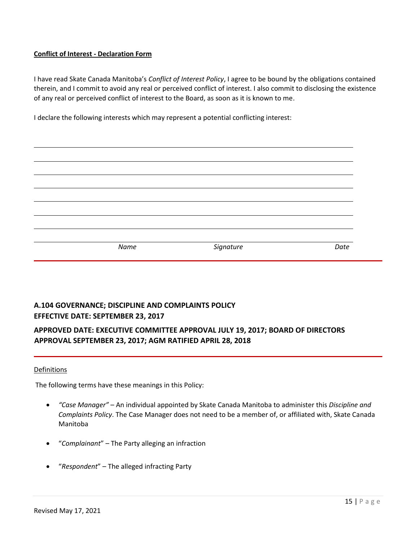# **Conflict of Interest - Declaration Form**

I have read Skate Canada Manitoba's *Conflict of Interest Policy*, I agree to be bound by the obligations contained therein, and I commit to avoid any real or perceived conflict of interest. I also commit to disclosing the existence of any real or perceived conflict of interest to the Board, as soon as it is known to me.

I declare the following interests which may represent a potential conflicting interest:

| Name | Signature | Date |
|------|-----------|------|
|      |           |      |
|      |           |      |
|      |           |      |

# <span id="page-14-0"></span>**A.104 GOVERNANCE; DISCIPLINE AND COMPLAINTS POLICY EFFECTIVE DATE: SEPTEMBER 23, 2017**

# **APPROVED DATE: EXECUTIVE COMMITTEE APPROVAL JULY 19, 2017; BOARD OF DIRECTORS APPROVAL SEPTEMBER 23, 2017; AGM RATIFIED APRIL 28, 2018**

# Definitions

The following terms have these meanings in this Policy:

- *"Case Manager"* An individual appointed by Skate Canada Manitoba to administer this *Discipline and Complaints Policy*. The Case Manager does not need to be a member of, or affiliated with, Skate Canada Manitoba
- "*Complainant*" The Party alleging an infraction
- "*Respondent*" The alleged infracting Party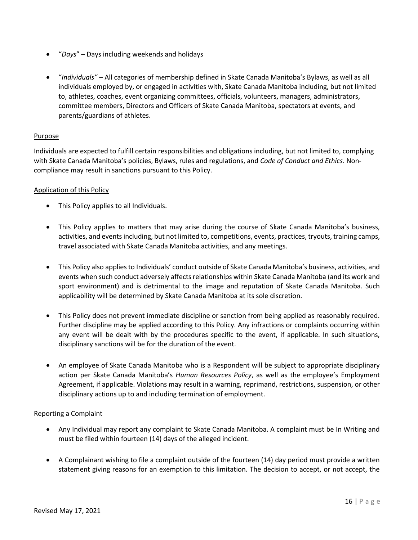- "*Days*" Days including weekends and holidays
- "*Individuals"* All categories of membership defined in Skate Canada Manitoba's Bylaws, as well as all individuals employed by, or engaged in activities with, Skate Canada Manitoba including, but not limited to, athletes, coaches, event organizing committees, officials, volunteers, managers, administrators, committee members, Directors and Officers of Skate Canada Manitoba, spectators at events, and parents/guardians of athletes.

# Purpose

Individuals are expected to fulfill certain responsibilities and obligations including, but not limited to, complying with Skate Canada Manitoba's policies, Bylaws, rules and regulations, and *Code of Conduct and Ethics*. Noncompliance may result in sanctions pursuant to this Policy.

# Application of this Policy

- This Policy applies to all Individuals.
- This Policy applies to matters that may arise during the course of Skate Canada Manitoba's business, activities, and events including, but not limited to, competitions, events, practices, tryouts, training camps, travel associated with Skate Canada Manitoba activities, and any meetings.
- This Policy also applies to Individuals' conduct outside of Skate Canada Manitoba's business, activities, and events when such conduct adversely affects relationships within Skate Canada Manitoba (and its work and sport environment) and is detrimental to the image and reputation of Skate Canada Manitoba. Such applicability will be determined by Skate Canada Manitoba at its sole discretion.
- This Policy does not prevent immediate discipline or sanction from being applied as reasonably required. Further discipline may be applied according to this Policy. Any infractions or complaints occurring within any event will be dealt with by the procedures specific to the event, if applicable. In such situations, disciplinary sanctions will be for the duration of the event.
- An employee of Skate Canada Manitoba who is a Respondent will be subject to appropriate disciplinary action per Skate Canada Manitoba's *Human Resources Policy*, as well as the employee's Employment Agreement, if applicable. Violations may result in a warning, reprimand, restrictions, suspension, or other disciplinary actions up to and including termination of employment.

# Reporting a Complaint

- Any Individual may report any complaint to Skate Canada Manitoba. A complaint must be In Writing and must be filed within fourteen (14) days of the alleged incident.
- A Complainant wishing to file a complaint outside of the fourteen (14) day period must provide a written statement giving reasons for an exemption to this limitation. The decision to accept, or not accept, the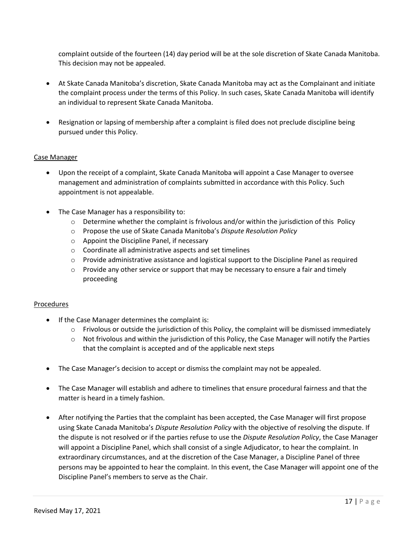complaint outside of the fourteen (14) day period will be at the sole discretion of Skate Canada Manitoba. This decision may not be appealed.

- At Skate Canada Manitoba's discretion, Skate Canada Manitoba may act as the Complainant and initiate the complaint process under the terms of this Policy. In such cases, Skate Canada Manitoba will identify an individual to represent Skate Canada Manitoba.
- Resignation or lapsing of membership after a complaint is filed does not preclude discipline being pursued under this Policy.

# Case Manager

- Upon the receipt of a complaint, Skate Canada Manitoba will appoint a Case Manager to oversee management and administration of complaints submitted in accordance with this Policy. Such appointment is not appealable.
- The Case Manager has a responsibility to:
	- $\circ$  Determine whether the complaint is frivolous and/or within the jurisdiction of this Policy
	- o Propose the use of Skate Canada Manitoba's *Dispute Resolution Policy*
	- o Appoint the Discipline Panel, if necessary
	- o Coordinate all administrative aspects and set timelines
	- $\circ$  Provide administrative assistance and logistical support to the Discipline Panel as required
	- $\circ$  Provide any other service or support that may be necessary to ensure a fair and timely proceeding

# Procedures

- If the Case Manager determines the complaint is:
	- $\circ$  Frivolous or outside the jurisdiction of this Policy, the complaint will be dismissed immediately
	- $\circ$  Not frivolous and within the jurisdiction of this Policy, the Case Manager will notify the Parties that the complaint is accepted and of the applicable next steps
- The Case Manager's decision to accept or dismiss the complaint may not be appealed.
- The Case Manager will establish and adhere to timelines that ensure procedural fairness and that the matter is heard in a timely fashion.
- After notifying the Parties that the complaint has been accepted, the Case Manager will first propose using Skate Canada Manitoba's *Dispute Resolution Policy* with the objective of resolving the dispute. If the dispute is not resolved or if the parties refuse to use the *Dispute Resolution Policy*, the Case Manager will appoint a Discipline Panel, which shall consist of a single Adjudicator, to hear the complaint. In extraordinary circumstances, and at the discretion of the Case Manager, a Discipline Panel of three persons may be appointed to hear the complaint. In this event, the Case Manager will appoint one of the Discipline Panel's members to serve as the Chair.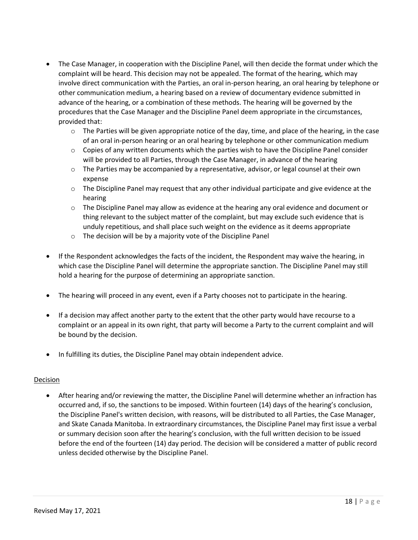- The Case Manager, in cooperation with the Discipline Panel, will then decide the format under which the complaint will be heard. This decision may not be appealed. The format of the hearing, which may involve direct communication with the Parties, an oral in-person hearing, an oral hearing by telephone or other communication medium, a hearing based on a review of documentary evidence submitted in advance of the hearing, or a combination of these methods. The hearing will be governed by the procedures that the Case Manager and the Discipline Panel deem appropriate in the circumstances, provided that:
	- o The Parties will be given appropriate notice of the day, time, and place of the hearing, in the case of an oral in-person hearing or an oral hearing by telephone or other communication medium
	- $\circ$  Copies of any written documents which the parties wish to have the Discipline Panel consider will be provided to all Parties, through the Case Manager, in advance of the hearing
	- $\circ$  The Parties may be accompanied by a representative, advisor, or legal counsel at their own expense
	- $\circ$  The Discipline Panel may request that any other individual participate and give evidence at the hearing
	- $\circ$  The Discipline Panel may allow as evidence at the hearing any oral evidence and document or thing relevant to the subject matter of the complaint, but may exclude such evidence that is unduly repetitious, and shall place such weight on the evidence as it deems appropriate
	- o The decision will be by a majority vote of the Discipline Panel
- If the Respondent acknowledges the facts of the incident, the Respondent may waive the hearing, in which case the Discipline Panel will determine the appropriate sanction. The Discipline Panel may still hold a hearing for the purpose of determining an appropriate sanction.
- The hearing will proceed in any event, even if a Party chooses not to participate in the hearing.
- If a decision may affect another party to the extent that the other party would have recourse to a complaint or an appeal in its own right, that party will become a Party to the current complaint and will be bound by the decision.
- In fulfilling its duties, the Discipline Panel may obtain independent advice.

# Decision

• After hearing and/or reviewing the matter, the Discipline Panel will determine whether an infraction has occurred and, if so, the sanctions to be imposed. Within fourteen (14) days of the hearing's conclusion, the Discipline Panel's written decision, with reasons, will be distributed to all Parties, the Case Manager, and Skate Canada Manitoba. In extraordinary circumstances, the Discipline Panel may first issue a verbal or summary decision soon after the hearing's conclusion, with the full written decision to be issued before the end of the fourteen (14) day period. The decision will be considered a matter of public record unless decided otherwise by the Discipline Panel.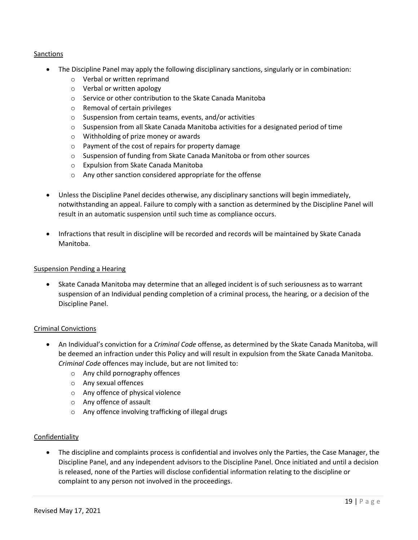# Sanctions

- The Discipline Panel may apply the following disciplinary sanctions, singularly or in combination:
	- o Verbal or written reprimand
	- o Verbal or written apology
	- o Service or other contribution to the Skate Canada Manitoba
	- o Removal of certain privileges
	- o Suspension from certain teams, events, and/or activities
	- $\circ$  Suspension from all Skate Canada Manitoba activities for a designated period of time
	- o Withholding of prize money or awards
	- o Payment of the cost of repairs for property damage
	- o Suspension of funding from Skate Canada Manitoba or from other sources
	- o Expulsion from Skate Canada Manitoba
	- o Any other sanction considered appropriate for the offense
- Unless the Discipline Panel decides otherwise, any disciplinary sanctions will begin immediately, notwithstanding an appeal. Failure to comply with a sanction as determined by the Discipline Panel will result in an automatic suspension until such time as compliance occurs.
- Infractions that result in discipline will be recorded and records will be maintained by Skate Canada Manitoba.

#### Suspension Pending a Hearing

• Skate Canada Manitoba may determine that an alleged incident is of such seriousness as to warrant suspension of an Individual pending completion of a criminal process, the hearing, or a decision of the Discipline Panel.

#### Criminal Convictions

- An Individual's conviction for a *Criminal Code* offense, as determined by the Skate Canada Manitoba, will be deemed an infraction under this Policy and will result in expulsion from the Skate Canada Manitoba. *Criminal Code* offences may include, but are not limited to:
	- o Any child pornography offences
	- o Any sexual offences
	- o Any offence of physical violence
	- o Any offence of assault
	- o Any offence involving trafficking of illegal drugs

# Confidentiality

• The discipline and complaints process is confidential and involves only the Parties, the Case Manager, the Discipline Panel, and any independent advisors to the Discipline Panel. Once initiated and until a decision is released, none of the Parties will disclose confidential information relating to the discipline or complaint to any person not involved in the proceedings.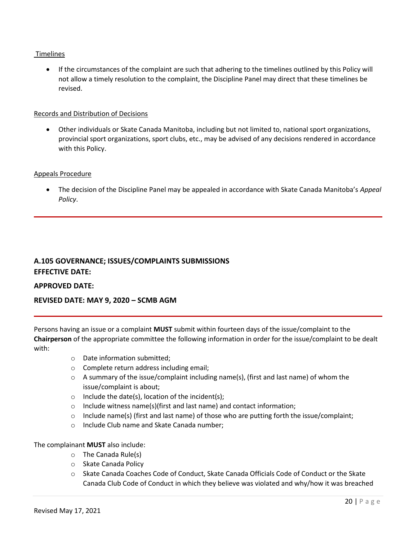# Timelines

• If the circumstances of the complaint are such that adhering to the timelines outlined by this Policy will not allow a timely resolution to the complaint, the Discipline Panel may direct that these timelines be revised.

#### Records and Distribution of Decisions

• Other individuals or Skate Canada Manitoba, including but not limited to, national sport organizations, provincial sport organizations, sport clubs, etc., may be advised of any decisions rendered in accordance with this Policy.

# Appeals Procedure

• The decision of the Discipline Panel may be appealed in accordance with Skate Canada Manitoba's *Appeal Policy*.

# <span id="page-19-0"></span>**A.105 GOVERNANCE; ISSUES/COMPLAINTS SUBMISSIONS EFFECTIVE DATE:**

**APPROVED DATE:**

# **REVISED DATE: MAY 9, 2020 – SCMB AGM**

Persons having an issue or a complaint **MUST** submit within fourteen days of the issue/complaint to the **Chairperson** of the appropriate committee the following information in order for the issue/complaint to be dealt with:

- o Date information submitted;
- o Complete return address including email;
- o A summary of the issue/complaint including name(s), (first and last name) of whom the issue/complaint is about;
- $\circ$  Include the date(s), location of the incident(s);
- o Include witness name(s)(first and last name) and contact information;
- $\circ$  Include name(s) (first and last name) of those who are putting forth the issue/complaint;
- o Include Club name and Skate Canada number;

The complainant **MUST** also include:

- o The Canada Rule(s)
- o Skate Canada Policy
- o Skate Canada Coaches Code of Conduct, Skate Canada Officials Code of Conduct or the Skate Canada Club Code of Conduct in which they believe was violated and why/how it was breached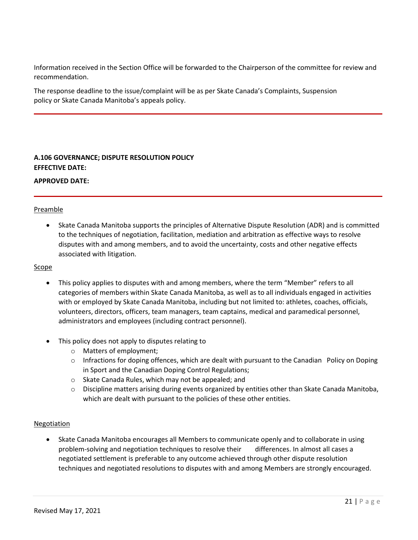Information received in the Section Office will be forwarded to the Chairperson of the committee for review and recommendation.

The response deadline to the issue/complaint will be as per Skate Canada's Complaints, Suspension policy or Skate Canada Manitoba's appeals policy.

# <span id="page-20-0"></span>**A.106 GOVERNANCE; DISPUTE RESOLUTION POLICY EFFECTIVE DATE:**

**APPROVED DATE:**

# Preamble

• Skate Canada Manitoba supports the principles of Alternative Dispute Resolution (ADR) and is committed to the techniques of negotiation, facilitation, mediation and arbitration as effective ways to resolve disputes with and among members, and to avoid the uncertainty, costs and other negative effects associated with litigation.

#### Scope

- This policy applies to disputes with and among members, where the term "Member" refers to all categories of members within Skate Canada Manitoba, as well as to all individuals engaged in activities with or employed by Skate Canada Manitoba, including but not limited to: athletes, coaches, officials, volunteers, directors, officers, team managers, team captains, medical and paramedical personnel, administrators and employees (including contract personnel).
- This policy does not apply to disputes relating to
	- o Matters of employment;
	- $\circ$  Infractions for doping offences, which are dealt with pursuant to the Canadian Policy on Doping in Sport and the Canadian Doping Control Regulations;
	- o Skate Canada Rules, which may not be appealed; and
	- o Discipline matters arising during events organized by entities other than Skate Canada Manitoba, which are dealt with pursuant to the policies of these other entities.

# Negotiation

• Skate Canada Manitoba encourages all Members to communicate openly and to collaborate in using problem-solving and negotiation techniques to resolve their differences. In almost all cases a negotiated settlement is preferable to any outcome achieved through other dispute resolution techniques and negotiated resolutions to disputes with and among Members are strongly encouraged.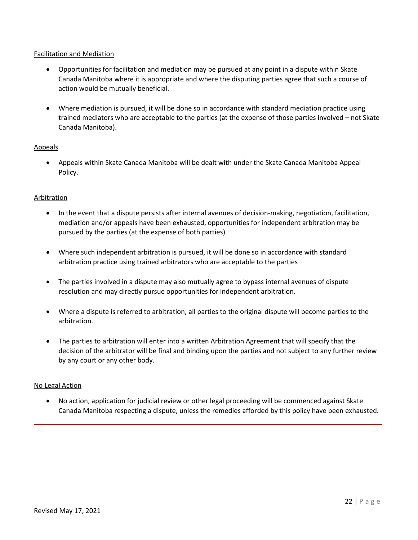# Facilitation and Mediation

- Opportunities for facilitation and mediation may be pursued at any point in a dispute within Skate Canada Manitoba where it is appropriate and where the disputing parties agree that such a course of action would be mutually beneficial.
- Where mediation is pursued, it will be done so in accordance with standard mediation practice using trained mediators who are acceptable to the parties (at the expense of those parties involved – not Skate Canada Manitoba).

# Appeals

• Appeals within Skate Canada Manitoba will be dealt with under the Skate Canada Manitoba Appeal Policy.

# Arbitration

- In the event that a dispute persists after internal avenues of decision-making, negotiation, facilitation, mediation and/or appeals have been exhausted, opportunities for independent arbitration may be pursued by the parties (at the expense of both parties)
- Where such independent arbitration is pursued, it will be done so in accordance with standard arbitration practice using trained arbitrators who are acceptable to the parties
- The parties involved in a dispute may also mutually agree to bypass internal avenues of dispute resolution and may directly pursue opportunities for independent arbitration.
- Where a dispute is referred to arbitration, all parties to the original dispute will become parties to the arbitration.
- The parties to arbitration will enter into a written Arbitration Agreement that will specify that the decision of the arbitrator will be final and binding upon the parties and not subject to any further review by any court or any other body.

# No Legal Action

• No action, application for judicial review or other legal proceeding will be commenced against Skate Canada Manitoba respecting a dispute, unless the remedies afforded by this policy have been exhausted.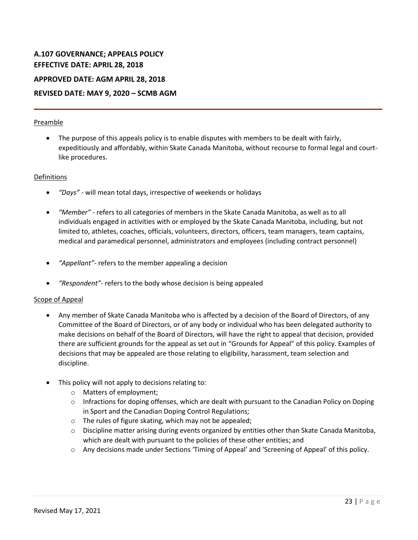# <span id="page-22-0"></span>**A.107 GOVERNANCE; APPEALS POLICY EFFECTIVE DATE: APRIL 28, 2018**

**APPROVED DATE: AGM APRIL 28, 2018**

# **REVISED DATE: MAY 9, 2020 – SCMB AGM**

# Preamble

• The purpose of this appeals policy is to enable disputes with members to be dealt with fairly, expeditiously and affordably, within Skate Canada Manitoba, without recourse to formal legal and courtlike procedures.

# Definitions

- *"Days" -* will mean total days, irrespective of weekends or holidays
- *"Member" -* refers to all categories of members in the Skate Canada Manitoba, as well as to all individuals engaged in activities with or employed by the Skate Canada Manitoba, including, but not limited to, athletes, coaches, officials, volunteers, directors, officers, team managers, team captains, medical and paramedical personnel, administrators and employees (including contract personnel)
- *"Appellant"-* refers to the member appealing a decision
- *"Respondent"-* refers to the body whose decision is being appealed

# Scope of Appeal

- Any member of Skate Canada Manitoba who is affected by a decision of the Board of Directors, of any Committee of the Board of Directors, or of any body or individual who has been delegated authority to make decisions on behalf of the Board of Directors, will have the right to appeal that decision, provided there are sufficient grounds for the appeal as set out in "Grounds for Appeal" of this policy. Examples of decisions that may be appealed are those relating to eligibility, harassment, team selection and discipline.
- This policy will not apply to decisions relating to:
	- o Matters of employment;
	- $\circ$  Infractions for doping offenses, which are dealt with pursuant to the Canadian Policy on Doping in Sport and the Canadian Doping Control Regulations;
	- o The rules of figure skating, which may not be appealed;
	- o Discipline matter arising during events organized by entities other than Skate Canada Manitoba, which are dealt with pursuant to the policies of these other entities; and
	- o Any decisions made under Sections 'Timing of Appeal' and 'Screening of Appeal' of this policy.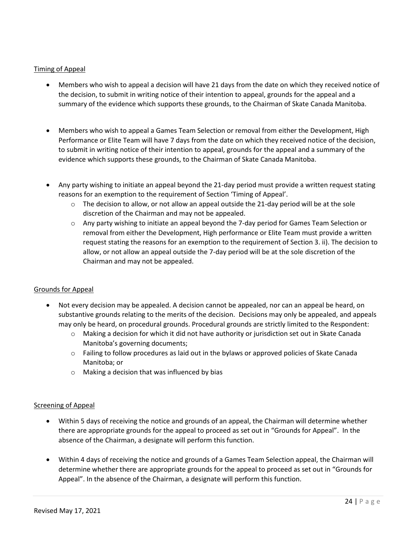# Timing of Appeal

- Members who wish to appeal a decision will have 21 days from the date on which they received notice of the decision, to submit in writing notice of their intention to appeal, grounds for the appeal and a summary of the evidence which supports these grounds, to the Chairman of Skate Canada Manitoba.
- Members who wish to appeal a Games Team Selection or removal from either the Development, High Performance or Elite Team will have 7 days from the date on which they received notice of the decision, to submit in writing notice of their intention to appeal, grounds for the appeal and a summary of the evidence which supports these grounds, to the Chairman of Skate Canada Manitoba.
- Any party wishing to initiate an appeal beyond the 21-day period must provide a written request stating reasons for an exemption to the requirement of Section 'Timing of Appeal'.
	- $\circ$  The decision to allow, or not allow an appeal outside the 21-day period will be at the sole discretion of the Chairman and may not be appealed.
	- o Any party wishing to initiate an appeal beyond the 7-day period for Games Team Selection or removal from either the Development, High performance or Elite Team must provide a written request stating the reasons for an exemption to the requirement of Section 3. ii). The decision to allow, or not allow an appeal outside the 7-day period will be at the sole discretion of the Chairman and may not be appealed.

# Grounds for Appeal

- Not every decision may be appealed. A decision cannot be appealed, nor can an appeal be heard, on substantive grounds relating to the merits of the decision. Decisions may only be appealed, and appeals may only be heard, on procedural grounds. Procedural grounds are strictly limited to the Respondent:
	- o Making a decision for which it did not have authority or jurisdiction set out in Skate Canada Manitoba's governing documents;
	- $\circ$  Failing to follow procedures as laid out in the bylaws or approved policies of Skate Canada Manitoba; or
	- o Making a decision that was influenced by bias

# Screening of Appeal

- Within 5 days of receiving the notice and grounds of an appeal, the Chairman will determine whether there are appropriate grounds for the appeal to proceed as set out in "Grounds for Appeal". In the absence of the Chairman, a designate will perform this function.
- Within 4 days of receiving the notice and grounds of a Games Team Selection appeal, the Chairman will determine whether there are appropriate grounds for the appeal to proceed as set out in "Grounds for Appeal". In the absence of the Chairman, a designate will perform this function.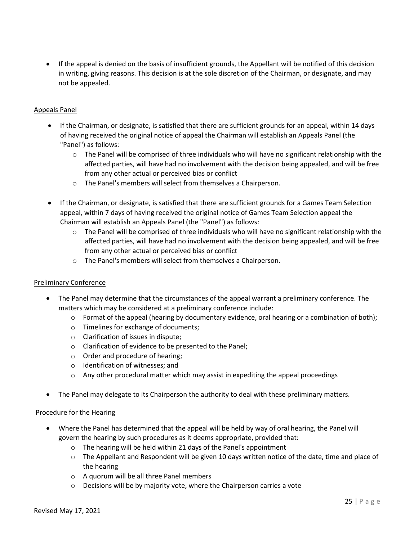• If the appeal is denied on the basis of insufficient grounds, the Appellant will be notified of this decision in writing, giving reasons. This decision is at the sole discretion of the Chairman, or designate, and may not be appealed.

# Appeals Panel

- If the Chairman, or designate, is satisfied that there are sufficient grounds for an appeal, within 14 days of having received the original notice of appeal the Chairman will establish an Appeals Panel (the "Panel") as follows:
	- $\circ$  The Panel will be comprised of three individuals who will have no significant relationship with the affected parties, will have had no involvement with the decision being appealed, and will be free from any other actual or perceived bias or conflict
	- o The Panel's members will select from themselves a Chairperson.
- If the Chairman, or designate, is satisfied that there are sufficient grounds for a Games Team Selection appeal, within 7 days of having received the original notice of Games Team Selection appeal the Chairman will establish an Appeals Panel (the "Panel") as follows:
	- $\circ$  The Panel will be comprised of three individuals who will have no significant relationship with the affected parties, will have had no involvement with the decision being appealed, and will be free from any other actual or perceived bias or conflict
	- o The Panel's members will select from themselves a Chairperson.

# Preliminary Conference

- The Panel may determine that the circumstances of the appeal warrant a preliminary conference. The matters which may be considered at a preliminary conference include:
	- $\circ$  Format of the appeal (hearing by documentary evidence, oral hearing or a combination of both);
	- o Timelines for exchange of documents;
	- o Clarification of issues in dispute;
	- o Clarification of evidence to be presented to the Panel;
	- o Order and procedure of hearing;
	- o Identification of witnesses; and
	- $\circ$  Any other procedural matter which may assist in expediting the appeal proceedings
- The Panel may delegate to its Chairperson the authority to deal with these preliminary matters.

# Procedure for the Hearing

- Where the Panel has determined that the appeal will be held by way of oral hearing, the Panel will govern the hearing by such procedures as it deems appropriate, provided that:
	- o The hearing will be held within 21 days of the Panel's appointment
	- o The Appellant and Respondent will be given 10 days written notice of the date, time and place of the hearing
	- o A quorum will be all three Panel members
	- $\circ$  Decisions will be by majority vote, where the Chairperson carries a vote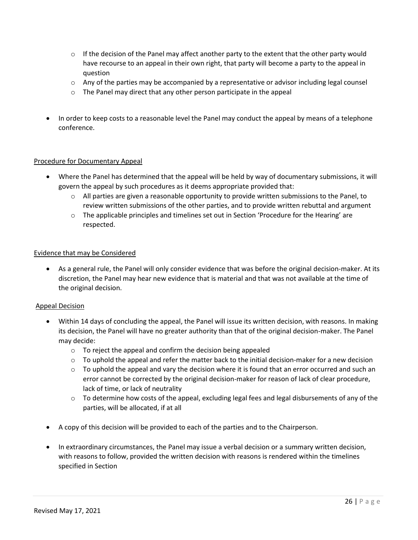- $\circ$  If the decision of the Panel may affect another party to the extent that the other party would have recourse to an appeal in their own right, that party will become a party to the appeal in question
- $\circ$  Any of the parties may be accompanied by a representative or advisor including legal counsel
- o The Panel may direct that any other person participate in the appeal
- In order to keep costs to a reasonable level the Panel may conduct the appeal by means of a telephone conference.

# Procedure for Documentary Appeal

- Where the Panel has determined that the appeal will be held by way of documentary submissions, it will govern the appeal by such procedures as it deems appropriate provided that:
	- $\circ$  All parties are given a reasonable opportunity to provide written submissions to the Panel, to review written submissions of the other parties, and to provide written rebuttal and argument
	- o The applicable principles and timelines set out in Section 'Procedure for the Hearing' are respected.

#### Evidence that may be Considered

• As a general rule, the Panel will only consider evidence that was before the original decision-maker. At its discretion, the Panel may hear new evidence that is material and that was not available at the time of the original decision.

#### Appeal Decision

- Within 14 days of concluding the appeal, the Panel will issue its written decision, with reasons. In making its decision, the Panel will have no greater authority than that of the original decision-maker. The Panel may decide:
	- o To reject the appeal and confirm the decision being appealed
	- $\circ$  To uphold the appeal and refer the matter back to the initial decision-maker for a new decision
	- $\circ$  To uphold the appeal and vary the decision where it is found that an error occurred and such an error cannot be corrected by the original decision-maker for reason of lack of clear procedure, lack of time, or lack of neutrality
	- $\circ$  To determine how costs of the appeal, excluding legal fees and legal disbursements of any of the parties, will be allocated, if at all
- A copy of this decision will be provided to each of the parties and to the Chairperson.
- In extraordinary circumstances, the Panel may issue a verbal decision or a summary written decision, with reasons to follow, provided the written decision with reasons is rendered within the timelines specified in Section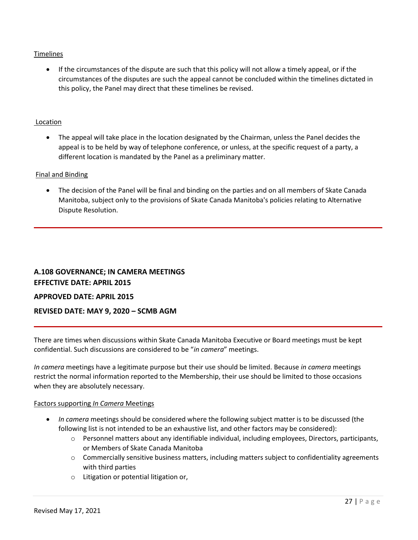# Timelines

• If the circumstances of the dispute are such that this policy will not allow a timely appeal, or if the circumstances of the disputes are such the appeal cannot be concluded within the timelines dictated in this policy, the Panel may direct that these timelines be revised.

# Location

• The appeal will take place in the location designated by the Chairman, unless the Panel decides the appeal is to be held by way of telephone conference, or unless, at the specific request of a party, a different location is mandated by the Panel as a preliminary matter.

# Final and Binding

• The decision of the Panel will be final and binding on the parties and on all members of Skate Canada Manitoba, subject only to the provisions of Skate Canada Manitoba's policies relating to Alternative Dispute Resolution.

# <span id="page-26-0"></span>**A.108 GOVERNANCE; IN CAMERA MEETINGS EFFECTIVE DATE: APRIL 2015 APPROVED DATE: APRIL 2015 REVISED DATE: MAY 9, 2020 – SCMB AGM**

There are times when discussions within Skate Canada Manitoba Executive or Board meetings must be kept confidential. Such discussions are considered to be "*in camera*" meetings.

*In camera* meetings have a legitimate purpose but their use should be limited. Because *in camera* meetings restrict the normal information reported to the Membership, their use should be limited to those occasions when they are absolutely necessary.

#### Factors supporting *In Camera* Meetings

- *In camera* meetings should be considered where the following subject matter is to be discussed (the following list is not intended to be an exhaustive list, and other factors may be considered):
	- o Personnel matters about any identifiable individual, including employees, Directors, participants, or Members of Skate Canada Manitoba
	- o Commercially sensitive business matters, including matters subject to confidentiality agreements with third parties
	- o Litigation or potential litigation or,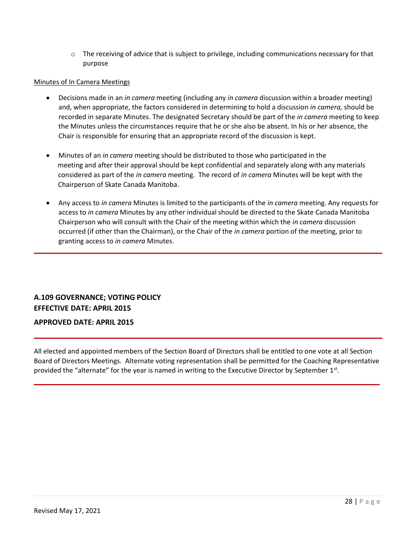$\circ$  The receiving of advice that is subject to privilege, including communications necessary for that purpose

# Minutes of In Camera Meetings

- Decisions made in an *in camera* meeting (including any *in camera* discussion within a broader meeting) and, when appropriate, the factors considered in determining to hold a discussion *in camera,* should be recorded in separate Minutes. The designated Secretary should be part of the *in camera* meeting to keep the Minutes unless the circumstances require that he or she also be absent. In his or her absence, the Chair is responsible for ensuring that an appropriate record of the discussion is kept.
- Minutes of an *in camera* meeting should be distributed to those who participated in the meeting and after their approval should be kept confidential and separately along with any materials considered as part of the *in camera* meeting. The record of *in camera* Minutes will be kept with the Chairperson of Skate Canada Manitoba.
- Any access to *in camera* Minutes is limited to the participants of the *in camera* meeting. Any requests for access to *in camera* Minutes by any other individual should be directed to the Skate Canada Manitoba Chairperson who will consult with the Chair of the meeting within which the *in camera* discussion occurred (if other than the Chairman), or the Chair of the *in camera* portion of the meeting, prior to granting access to *in camera* Minutes.

# <span id="page-27-0"></span>**A.109 GOVERNANCE; VOTING POLICY EFFECTIVE DATE: APRIL 2015 APPROVED DATE: APRIL 2015**

# All elected and appointed members of the Section Board of Directors shall be entitled to one vote at all Section Board of Directors Meetings. Alternate voting representation shall be permitted for the Coaching Representative provided the "alternate" for the year is named in writing to the Executive Director by September 1st.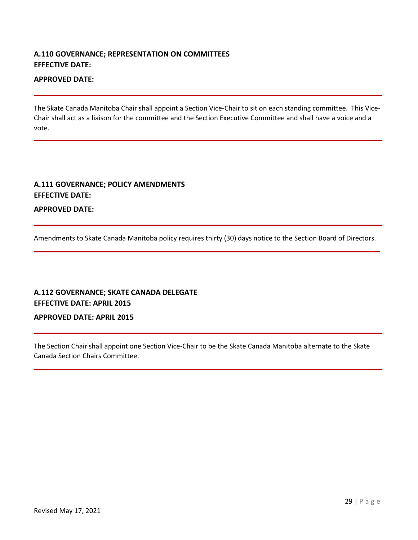# <span id="page-28-0"></span>**A.110 GOVERNANCE; REPRESENTATION ON COMMITTEES EFFECTIVE DATE:**

# **APPROVED DATE:**

The Skate Canada Manitoba Chair shall appoint a Section Vice-Chair to sit on each standing committee. This Vice-Chair shall act as a liaison for the committee and the Section Executive Committee and shall have a voice and a vote.

# <span id="page-28-1"></span>**A.111 GOVERNANCE; POLICY AMENDMENTS EFFECTIVE DATE:**

**APPROVED DATE:**

Amendments to Skate Canada Manitoba policy requires thirty (30) days notice to the Section Board of Directors.

# <span id="page-28-2"></span>**A.112 GOVERNANCE; SKATE CANADA DELEGATE EFFECTIVE DATE: APRIL 2015**

# **APPROVED DATE: APRIL 2015**

The Section Chair shall appoint one Section Vice-Chair to be the Skate Canada Manitoba alternate to the Skate Canada Section Chairs Committee.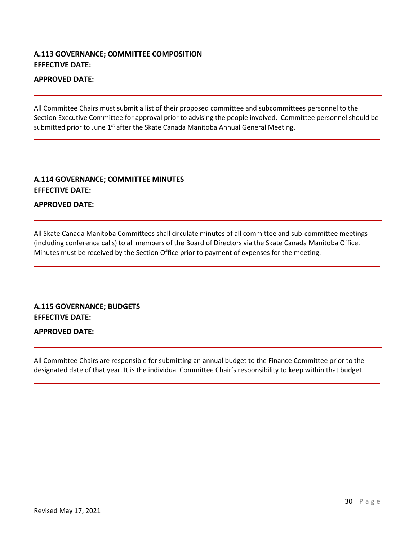# <span id="page-29-0"></span>**A.113 GOVERNANCE; COMMITTEE COMPOSITION EFFECTIVE DATE:**

# **APPROVED DATE:**

All Committee Chairs must submit a list of their proposed committee and subcommittees personnel to the Section Executive Committee for approval prior to advising the people involved. Committee personnel should be submitted prior to June 1<sup>st</sup> after the Skate Canada Manitoba Annual General Meeting.

# <span id="page-29-1"></span>**A.114 GOVERNANCE; COMMITTEE MINUTES EFFECTIVE DATE:**

**APPROVED DATE:**

All Skate Canada Manitoba Committees shall circulate minutes of all committee and sub-committee meetings (including conference calls) to all members of the Board of Directors via the Skate Canada Manitoba Office. Minutes must be received by the Section Office prior to payment of expenses for the meeting.

# <span id="page-29-2"></span>**A.115 GOVERNANCE; BUDGETS EFFECTIVE DATE:**

**APPROVED DATE:**

All Committee Chairs are responsible for submitting an annual budget to the Finance Committee prior to the designated date of that year. It is the individual Committee Chair's responsibility to keep within that budget.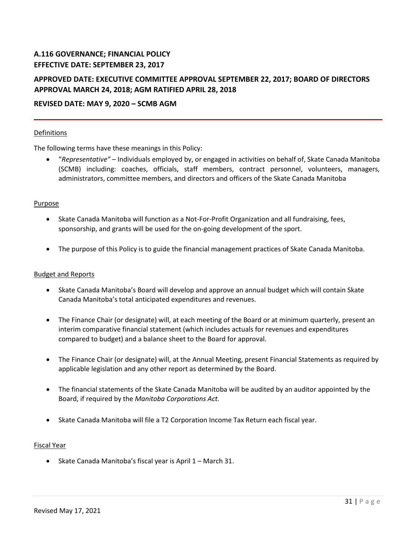# <span id="page-30-0"></span>**A.116 GOVERNANCE; FINANCIAL POLICY EFFECTIVE DATE: SEPTEMBER 23, 2017**

# **APPROVED DATE: EXECUTIVE COMMITTEE APPROVAL SEPTEMBER 22, 2017; BOARD OF DIRECTORS APPROVAL MARCH 24, 2018; AGM RATIFIED APRIL 28, 2018**

# **REVISED DATE: MAY 9, 2020 – SCMB AGM**

# Definitions

The following terms have these meanings in this Policy:

• "*Representative"* – Individuals employed by, or engaged in activities on behalf of, Skate Canada Manitoba (SCMB) including: coaches, officials, staff members, contract personnel, volunteers, managers, administrators, committee members, and directors and officers of the Skate Canada Manitoba

# Purpose

- Skate Canada Manitoba will function as a Not-For-Profit Organization and all fundraising, fees, sponsorship, and grants will be used for the on-going development of the sport.
- The purpose of this Policy is to guide the financial management practices of Skate Canada Manitoba.

#### Budget and Reports

- Skate Canada Manitoba's Board will develop and approve an annual budget which will contain Skate Canada Manitoba's total anticipated expenditures and revenues.
- The Finance Chair (or designate) will, at each meeting of the Board or at minimum quarterly, present an interim comparative financial statement (which includes actuals for revenues and expenditures compared to budget) and a balance sheet to the Board for approval.
- The Finance Chair (or designate) will, at the Annual Meeting, present Financial Statements as required by applicable legislation and any other report as determined by the Board.
- The financial statements of the Skate Canada Manitoba will be audited by an auditor appointed by the Board, if required by the *Manitoba Corporations Act.*
- Skate Canada Manitoba will file a T2 Corporation Income Tax Return each fiscal year.

#### Fiscal Year

• Skate Canada Manitoba's fiscal year is April 1 – March 31.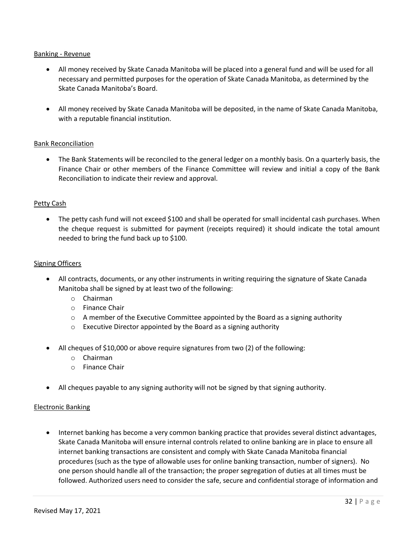# Banking - Revenue

- All money received by Skate Canada Manitoba will be placed into a general fund and will be used for all necessary and permitted purposes for the operation of Skate Canada Manitoba, as determined by the Skate Canada Manitoba's Board.
- All money received by Skate Canada Manitoba will be deposited, in the name of Skate Canada Manitoba, with a reputable financial institution.

# Bank Reconciliation

• The Bank Statements will be reconciled to the general ledger on a monthly basis. On a quarterly basis, the Finance Chair or other members of the Finance Committee will review and initial a copy of the Bank Reconciliation to indicate their review and approval.

# Petty Cash

• The petty cash fund will not exceed \$100 and shall be operated for small incidental cash purchases. When the cheque request is submitted for payment (receipts required) it should indicate the total amount needed to bring the fund back up to \$100.

# Signing Officers

- All contracts, documents, or any other instruments in writing requiring the signature of Skate Canada Manitoba shall be signed by at least two of the following:
	- o Chairman
	- o Finance Chair
	- $\circ$  A member of the Executive Committee appointed by the Board as a signing authority
	- $\circ$  Executive Director appointed by the Board as a signing authority
- All cheques of \$10,000 or above require signatures from two (2) of the following:
	- o Chairman
	- o Finance Chair
- All cheques payable to any signing authority will not be signed by that signing authority.

# Electronic Banking

• Internet banking has become a very common banking practice that provides several distinct advantages, Skate Canada Manitoba will ensure internal controls related to online banking are in place to ensure all internet banking transactions are consistent and comply with Skate Canada Manitoba financial procedures (such as the type of allowable uses for online banking transaction, number of signers). No one person should handle all of the transaction; the proper segregation of duties at all times must be followed. Authorized users need to consider the safe, secure and confidential storage of information and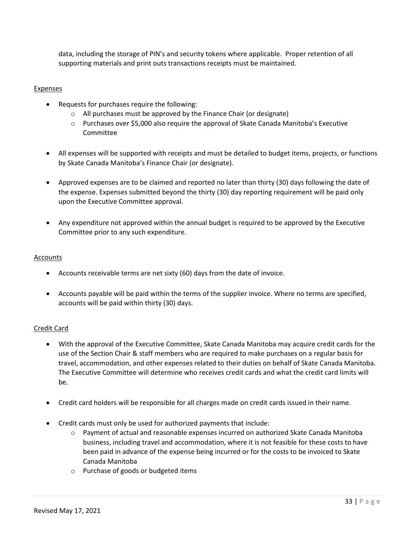data, including the storage of PIN's and security tokens where applicable. Proper retention of all supporting materials and print outs transactions receipts must be maintained.

# Expenses

- Requests for purchases require the following:
	- o All purchases must be approved by the Finance Chair (or designate)
	- o Purchases over \$5,000 also require the approval of Skate Canada Manitoba's Executive Committee
- All expenses will be supported with receipts and must be detailed to budget items, projects, or functions by Skate Canada Manitoba's Finance Chair (or designate).
- Approved expenses are to be claimed and reported no later than thirty (30) days following the date of the expense. Expenses submitted beyond the thirty (30) day reporting requirement will be paid only upon the Executive Committee approval.
- Any expenditure not approved within the annual budget is required to be approved by the Executive Committee prior to any such expenditure.

# Accounts

- Accounts receivable terms are net sixty (60) days from the date of invoice.
- Accounts payable will be paid within the terms of the supplier invoice. Where no terms are specified, accounts will be paid within thirty (30) days.

# Credit Card

- With the approval of the Executive Committee, Skate Canada Manitoba may acquire credit cards for the use of the Section Chair & staff members who are required to make purchases on a regular basis for travel, accommodation, and other expenses related to their duties on behalf of Skate Canada Manitoba. The Executive Committee will determine who receives credit cards and what the credit card limits will be.
- Credit card holders will be responsible for all charges made on credit cards issued in their name.
- Credit cards must only be used for authorized payments that include:
	- $\circ$  Payment of actual and reasonable expenses incurred on authorized Skate Canada Manitoba business, including travel and accommodation, where it is not feasible for these costs to have been paid in advance of the expense being incurred or for the costs to be invoiced to Skate Canada Manitoba
	- o Purchase of goods or budgeted items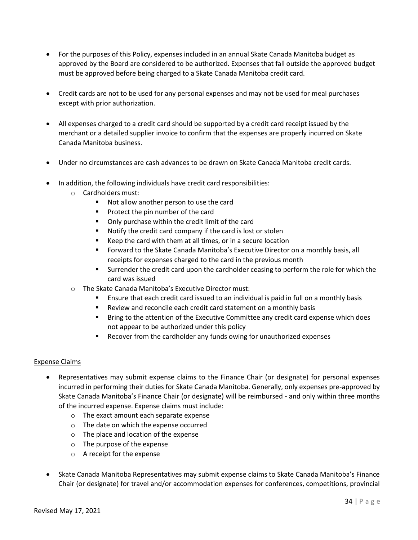- For the purposes of this Policy, expenses included in an annual Skate Canada Manitoba budget as approved by the Board are considered to be authorized. Expenses that fall outside the approved budget must be approved before being charged to a Skate Canada Manitoba credit card.
- Credit cards are not to be used for any personal expenses and may not be used for meal purchases except with prior authorization.
- All expenses charged to a credit card should be supported by a credit card receipt issued by the merchant or a detailed supplier invoice to confirm that the expenses are properly incurred on Skate Canada Manitoba business.
- Under no circumstances are cash advances to be drawn on Skate Canada Manitoba credit cards.
- In addition, the following individuals have credit card responsibilities:
	- o Cardholders must:
		- Not allow another person to use the card
		- Protect the pin number of the card
		- Only purchase within the credit limit of the card
		- Notify the credit card company if the card is lost or stolen
		- Keep the card with them at all times, or in a secure location
		- Forward to the Skate Canada Manitoba's Executive Director on a monthly basis, all receipts for expenses charged to the card in the previous month
		- Surrender the credit card upon the cardholder ceasing to perform the role for which the card was issued
	- o The Skate Canada Manitoba's Executive Director must:
		- Ensure that each credit card issued to an individual is paid in full on a monthly basis
		- Review and reconcile each credit card statement on a monthly basis
		- **■** Bring to the attention of the Executive Committee any credit card expense which does not appear to be authorized under this policy
		- Recover from the cardholder any funds owing for unauthorized expenses

# Expense Claims

- Representatives may submit expense claims to the Finance Chair (or designate) for personal expenses incurred in performing their duties for Skate Canada Manitoba. Generally, only expenses pre-approved by Skate Canada Manitoba's Finance Chair (or designate) will be reimbursed - and only within three months of the incurred expense. Expense claims must include:
	- o The exact amount each separate expense
	- o The date on which the expense occurred
	- o The place and location of the expense
	- o The purpose of the expense
	- o A receipt for the expense
- Skate Canada Manitoba Representatives may submit expense claims to Skate Canada Manitoba's Finance Chair (or designate) for travel and/or accommodation expenses for conferences, competitions, provincial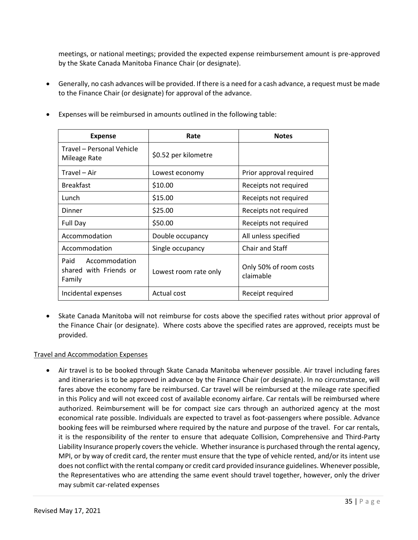meetings, or national meetings; provided the expected expense reimbursement amount is pre-approved by the Skate Canada Manitoba Finance Chair (or designate).

• Generally, no cash advances will be provided. If there is a need for a cash advance, a request must be made to the Finance Chair (or designate) for approval of the advance.

| <b>Expense</b>                                            | Rate                  | <b>Notes</b>                        |
|-----------------------------------------------------------|-----------------------|-------------------------------------|
| Travel - Personal Vehicle<br>Mileage Rate                 | \$0.52 per kilometre  |                                     |
| Travel - Air                                              | Lowest economy        | Prior approval required             |
| <b>Breakfast</b>                                          | \$10.00               | Receipts not required               |
| Lunch                                                     | \$15.00               | Receipts not required               |
| Dinner                                                    | \$25.00               | Receipts not required               |
| Full Day                                                  | \$50.00               | Receipts not required               |
| Accommodation                                             | Double occupancy      | All unless specified                |
| Accommodation                                             | Single occupancy      | <b>Chair and Staff</b>              |
| Paid<br>Accommodation<br>shared with Friends or<br>Family | Lowest room rate only | Only 50% of room costs<br>claimable |
| Incidental expenses                                       | Actual cost           | Receipt required                    |

• Expenses will be reimbursed in amounts outlined in the following table:

• Skate Canada Manitoba will not reimburse for costs above the specified rates without prior approval of the Finance Chair (or designate). Where costs above the specified rates are approved, receipts must be provided.

# Travel and Accommodation Expenses

• Air travel is to be booked through Skate Canada Manitoba whenever possible. Air travel including fares and itineraries is to be approved in advance by the Finance Chair (or designate). In no circumstance, will fares above the economy fare be reimbursed. Car travel will be reimbursed at the mileage rate specified in this Policy and will not exceed cost of available economy airfare. Car rentals will be reimbursed where authorized. Reimbursement will be for compact size cars through an authorized agency at the most economical rate possible. Individuals are expected to travel as foot-passengers where possible. Advance booking fees will be reimbursed where required by the nature and purpose of the travel. For car rentals, it is the responsibility of the renter to ensure that adequate Collision, Comprehensive and Third-Party Liability Insurance properly covers the vehicle. Whether insurance is purchased through the rental agency, MPI, or by way of credit card, the renter must ensure that the type of vehicle rented, and/or its intent use does not conflict with the rental company or credit card provided insurance guidelines. Whenever possible, the Representatives who are attending the same event should travel together, however, only the driver may submit car-related expenses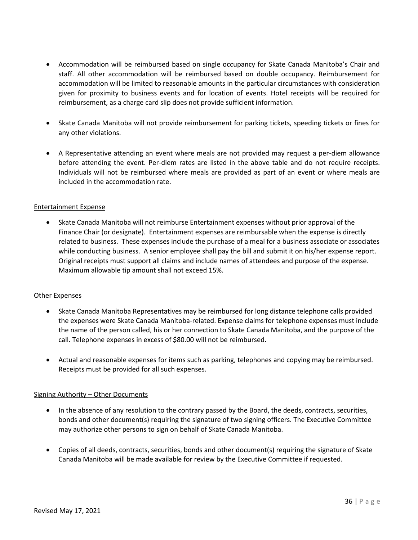- Accommodation will be reimbursed based on single occupancy for Skate Canada Manitoba's Chair and staff. All other accommodation will be reimbursed based on double occupancy. Reimbursement for accommodation will be limited to reasonable amounts in the particular circumstances with consideration given for proximity to business events and for location of events. Hotel receipts will be required for reimbursement, as a charge card slip does not provide sufficient information.
- Skate Canada Manitoba will not provide reimbursement for parking tickets, speeding tickets or fines for any other violations.
- A Representative attending an event where meals are not provided may request a per-diem allowance before attending the event. Per-diem rates are listed in the above table and do not require receipts. Individuals will not be reimbursed where meals are provided as part of an event or where meals are included in the accommodation rate.

# Entertainment Expense

• Skate Canada Manitoba will not reimburse Entertainment expenses without prior approval of the Finance Chair (or designate). Entertainment expenses are reimbursable when the expense is directly related to business. These expenses include the purchase of a meal for a business associate or associates while conducting business. A senior employee shall pay the bill and submit it on his/her expense report. Original receipts must support all claims and include names of attendees and purpose of the expense. Maximum allowable tip amount shall not exceed 15%.

# Other Expenses

- Skate Canada Manitoba Representatives may be reimbursed for long distance telephone calls provided the expenses were Skate Canada Manitoba-related. Expense claims for telephone expenses must include the name of the person called, his or her connection to Skate Canada Manitoba, and the purpose of the call. Telephone expenses in excess of \$80.00 will not be reimbursed.
- Actual and reasonable expenses for items such as parking, telephones and copying may be reimbursed. Receipts must be provided for all such expenses.

# Signing Authority – Other Documents

- In the absence of any resolution to the contrary passed by the Board, the deeds, contracts, securities, bonds and other document(s) requiring the signature of two signing officers. The Executive Committee may authorize other persons to sign on behalf of Skate Canada Manitoba.
- Copies of all deeds, contracts, securities, bonds and other document(s) requiring the signature of Skate Canada Manitoba will be made available for review by the Executive Committee if requested.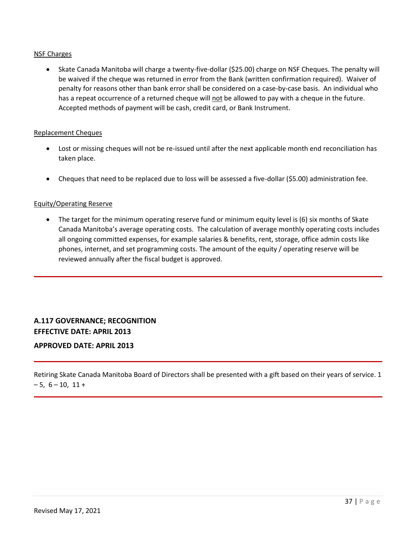# NSF Charges

• Skate Canada Manitoba will charge a twenty-five-dollar (\$25.00) charge on NSF Cheques. The penalty will be waived if the cheque was returned in error from the Bank (written confirmation required). Waiver of penalty for reasons other than bank error shall be considered on a case-by-case basis. An individual who has a repeat occurrence of a returned cheque will not be allowed to pay with a cheque in the future. Accepted methods of payment will be cash, credit card, or Bank Instrument.

## Replacement Cheques

- Lost or missing cheques will not be re-issued until after the next applicable month end reconciliation has taken place.
- Cheques that need to be replaced due to loss will be assessed a five-dollar (\$5.00) administration fee.

# Equity/Operating Reserve

• The target for the minimum operating reserve fund or minimum equity level is (6) six months of Skate Canada Manitoba's average operating costs. The calculation of average monthly operating costs includes all ongoing committed expenses, for example salaries & benefits, rent, storage, office admin costs like phones, internet, and set programming costs. The amount of the equity / operating reserve will be reviewed annually after the fiscal budget is approved.

<span id="page-36-0"></span>**A.117 GOVERNANCE; RECOGNITION EFFECTIVE DATE: APRIL 2013**

# **APPROVED DATE: APRIL 2013**

Retiring Skate Canada Manitoba Board of Directors shall be presented with a gift based on their years of service. 1  $-5, 6 - 10, 11 +$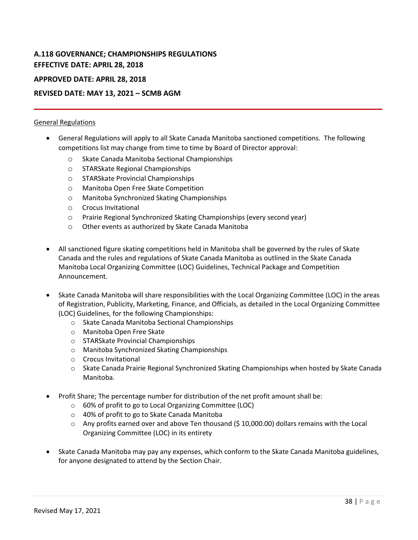# <span id="page-37-0"></span>**A.118 GOVERNANCE; CHAMPIONSHIPS REGULATIONS EFFECTIVE DATE: APRIL 28, 2018**

# **APPROVED DATE: APRIL 28, 2018**

# **REVISED DATE: MAY 13, 2021 – SCMB AGM**

# General Regulations

- General Regulations will apply to all Skate Canada Manitoba sanctioned competitions. The following competitions list may change from time to time by Board of Director approval:
	- o Skate Canada Manitoba Sectional Championships
	- o STARSkate Regional Championships
	- o STARSkate Provincial Championships
	- o Manitoba Open Free Skate Competition
	- o Manitoba Synchronized Skating Championships
	- o Crocus Invitational
	- o Prairie Regional Synchronized Skating Championships (every second year)
	- o Other events as authorized by Skate Canada Manitoba
- All sanctioned figure skating competitions held in Manitoba shall be governed by the rules of Skate Canada and the rules and regulations of Skate Canada Manitoba as outlined in the Skate Canada Manitoba Local Organizing Committee (LOC) Guidelines, Technical Package and Competition Announcement.
- Skate Canada Manitoba will share responsibilities with the Local Organizing Committee (LOC) in the areas of Registration, Publicity, Marketing, Finance, and Officials, as detailed in the Local Organizing Committee (LOC) Guidelines, for the following Championships:
	- o Skate Canada Manitoba Sectional Championships
	- o Manitoba Open Free Skate
	- o STARSkate Provincial Championships
	- o Manitoba Synchronized Skating Championships
	- o Crocus Invitational
	- o Skate Canada Prairie Regional Synchronized Skating Championships when hosted by Skate Canada Manitoba.
- Profit Share; The percentage number for distribution of the net profit amount shall be:
	- o 60% of profit to go to Local Organizing Committee (LOC)
	- o 40% of profit to go to Skate Canada Manitoba
	- $\circ$  Any profits earned over and above Ten thousand (\$10,000.00) dollars remains with the Local Organizing Committee (LOC) in its entirety
- Skate Canada Manitoba may pay any expenses, which conform to the Skate Canada Manitoba guidelines, for anyone designated to attend by the Section Chair.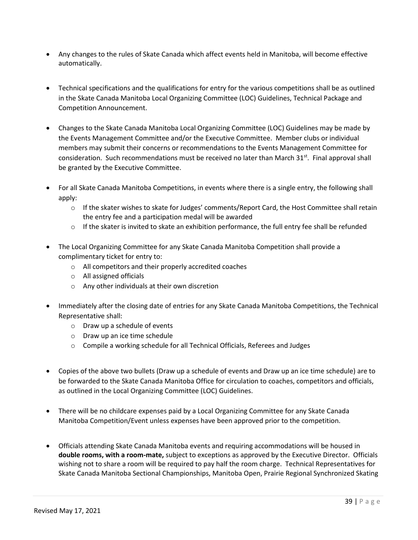- Any changes to the rules of Skate Canada which affect events held in Manitoba, will become effective automatically.
- Technical specifications and the qualifications for entry for the various competitions shall be as outlined in the Skate Canada Manitoba Local Organizing Committee (LOC) Guidelines, Technical Package and Competition Announcement.
- Changes to the Skate Canada Manitoba Local Organizing Committee (LOC) Guidelines may be made by the Events Management Committee and/or the Executive Committee. Member clubs or individual members may submit their concerns or recommendations to the Events Management Committee for consideration. Such recommendations must be received no later than March  $31<sup>st</sup>$ . Final approval shall be granted by the Executive Committee.
- For all Skate Canada Manitoba Competitions, in events where there is a single entry, the following shall apply:
	- o If the skater wishes to skate for Judges' comments/Report Card, the Host Committee shall retain the entry fee and a participation medal will be awarded
	- $\circ$  If the skater is invited to skate an exhibition performance, the full entry fee shall be refunded
- The Local Organizing Committee for any Skate Canada Manitoba Competition shall provide a complimentary ticket for entry to:
	- o All competitors and their properly accredited coaches
	- o All assigned officials
	- o Any other individuals at their own discretion
- Immediately after the closing date of entries for any Skate Canada Manitoba Competitions, the Technical Representative shall:
	- o Draw up a schedule of events
	- o Draw up an ice time schedule
	- o Compile a working schedule for all Technical Officials, Referees and Judges
- Copies of the above two bullets (Draw up a schedule of events and Draw up an ice time schedule) are to be forwarded to the Skate Canada Manitoba Office for circulation to coaches, competitors and officials, as outlined in the Local Organizing Committee (LOC) Guidelines.
- There will be no childcare expenses paid by a Local Organizing Committee for any Skate Canada Manitoba Competition/Event unless expenses have been approved prior to the competition.
- Officials attending Skate Canada Manitoba events and requiring accommodations will be housed in **double rooms, with a room-mate,** subject to exceptions as approved by the Executive Director. Officials wishing not to share a room will be required to pay half the room charge. Technical Representatives for Skate Canada Manitoba Sectional Championships, Manitoba Open, Prairie Regional Synchronized Skating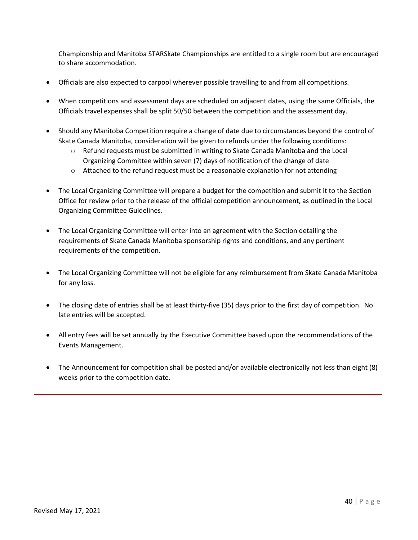Championship and Manitoba STARSkate Championships are entitled to a single room but are encouraged to share accommodation.

- Officials are also expected to carpool wherever possible travelling to and from all competitions.
- When competitions and assessment days are scheduled on adjacent dates, using the same Officials, the Officials travel expenses shall be split 50/50 between the competition and the assessment day.
- Should any Manitoba Competition require a change of date due to circumstances beyond the control of Skate Canada Manitoba, consideration will be given to refunds under the following conditions:
	- $\circ$  Refund requests must be submitted in writing to Skate Canada Manitoba and the Local Organizing Committee within seven (7) days of notification of the change of date
	- $\circ$  Attached to the refund request must be a reasonable explanation for not attending
- The Local Organizing Committee will prepare a budget for the competition and submit it to the Section Office for review prior to the release of the official competition announcement, as outlined in the Local Organizing Committee Guidelines.
- The Local Organizing Committee will enter into an agreement with the Section detailing the requirements of Skate Canada Manitoba sponsorship rights and conditions, and any pertinent requirements of the competition.
- The Local Organizing Committee will not be eligible for any reimbursement from Skate Canada Manitoba for any loss.
- The closing date of entries shall be at least thirty-five (35) days prior to the first day of competition. No late entries will be accepted.
- All entry fees will be set annually by the Executive Committee based upon the recommendations of the Events Management.
- The Announcement for competition shall be posted and/or available electronically not less than eight (8) weeks prior to the competition date.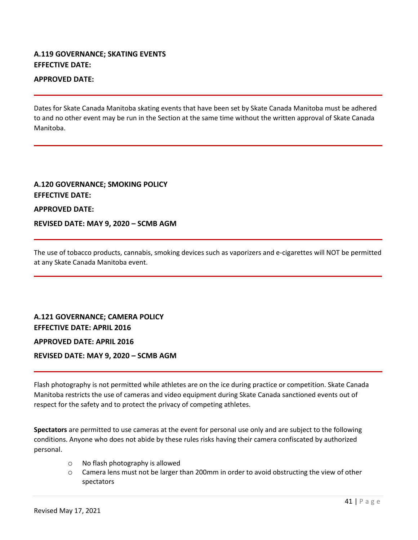# <span id="page-40-0"></span>**A.119 GOVERNANCE; SKATING EVENTS EFFECTIVE DATE:**

# **APPROVED DATE:**

Dates for Skate Canada Manitoba skating events that have been set by Skate Canada Manitoba must be adhered to and no other event may be run in the Section at the same time without the written approval of Skate Canada Manitoba.

# <span id="page-40-1"></span>**A.120 GOVERNANCE; SMOKING POLICY EFFECTIVE DATE: APPROVED DATE:**

**REVISED DATE: MAY 9, 2020 – SCMB AGM**

<span id="page-40-2"></span>The use of tobacco products, cannabis, smoking devices such as vaporizers and e-cigarettes will NOT be permitted at any Skate Canada Manitoba event.

**A.121 GOVERNANCE; CAMERA POLICY EFFECTIVE DATE: APRIL 2016 APPROVED DATE: APRIL 2016 REVISED DATE: MAY 9, 2020 – SCMB AGM**

Flash photography is not permitted while athletes are on the ice during practice or competition. Skate Canada Manitoba restricts the use of cameras and video equipment during Skate Canada sanctioned events out of respect for the safety and to protect the privacy of competing athletes.

**Spectators** are permitted to use cameras at the event for personal use only and are subject to the following conditions. Anyone who does not abide by these rules risks having their camera confiscated by authorized personal.

- o No flash photography is allowed
- o Camera lens must not be larger than 200mm in order to avoid obstructing the view of other spectators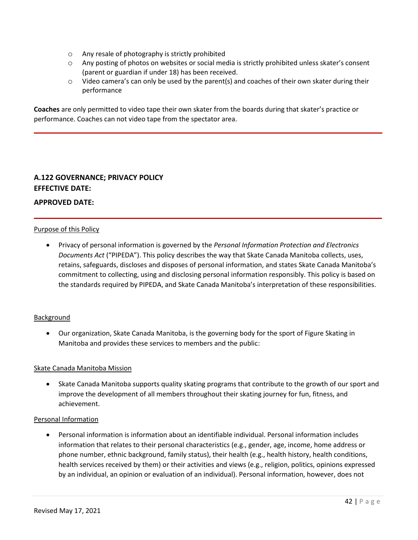- o Any resale of photography is strictly prohibited
- o Any posting of photos on websites or social media is strictly prohibited unless skater's consent (parent or guardian if under 18) has been received.
- o Video camera's can only be used by the parent(s) and coaches of their own skater during their performance

**Coaches** are only permitted to video tape their own skater from the boards during that skater's practice or performance. Coaches can not video tape from the spectator area.

# <span id="page-41-0"></span>**A.122 GOVERNANCE; PRIVACY POLICY EFFECTIVE DATE:**

# **APPROVED DATE:**

# Purpose of this Policy

• Privacy of personal information is governed by the *Personal Information Protection and Electronics Documents Act* ("PIPEDA"). This policy describes the way that Skate Canada Manitoba collects, uses, retains, safeguards, discloses and disposes of personal information, and states Skate Canada Manitoba's commitment to collecting, using and disclosing personal information responsibly. This policy is based on the standards required by PIPEDA, and Skate Canada Manitoba's interpretation of these responsibilities.

# **Background**

• Our organization, Skate Canada Manitoba, is the governing body for the sport of Figure Skating in Manitoba and provides these services to members and the public:

#### Skate Canada Manitoba Mission

• Skate Canada Manitoba supports quality skating programs that contribute to the growth of our sport and improve the development of all members throughout their skating journey for fun, fitness, and achievement.

#### Personal Information

• Personal information is information about an identifiable individual. Personal information includes information that relates to their personal characteristics (e.g., gender, age, income, home address or phone number, ethnic background, family status), their health (e.g., health history, health conditions, health services received by them) or their activities and views (e.g., religion, politics, opinions expressed by an individual, an opinion or evaluation of an individual). Personal information, however, does not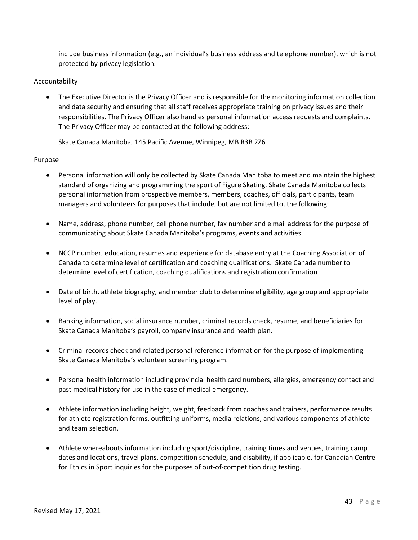include business information (e.g., an individual's business address and telephone number), which is not protected by privacy legislation.

# Accountability

• The Executive Director is the Privacy Officer and is responsible for the monitoring information collection and data security and ensuring that all staff receives appropriate training on privacy issues and their responsibilities. The Privacy Officer also handles personal information access requests and complaints. The Privacy Officer may be contacted at the following address:

Skate Canada Manitoba, 145 Pacific Avenue, Winnipeg, MB R3B 2Z6

# Purpose

- Personal information will only be collected by Skate Canada Manitoba to meet and maintain the highest standard of organizing and programming the sport of Figure Skating. Skate Canada Manitoba collects personal information from prospective members, members, coaches, officials, participants, team managers and volunteers for purposes that include, but are not limited to, the following:
- Name, address, phone number, cell phone number, fax number and e mail address for the purpose of communicating about Skate Canada Manitoba's programs, events and activities.
- NCCP number, education, resumes and experience for database entry at the Coaching Association of Canada to determine level of certification and coaching qualifications. Skate Canada number to determine level of certification, coaching qualifications and registration confirmation
- Date of birth, athlete biography, and member club to determine eligibility, age group and appropriate level of play.
- Banking information, social insurance number, criminal records check, resume, and beneficiaries for Skate Canada Manitoba's payroll, company insurance and health plan.
- Criminal records check and related personal reference information for the purpose of implementing Skate Canada Manitoba's volunteer screening program.
- Personal health information including provincial health card numbers, allergies, emergency contact and past medical history for use in the case of medical emergency.
- Athlete information including height, weight, feedback from coaches and trainers, performance results for athlete registration forms, outfitting uniforms, media relations, and various components of athlete and team selection.
- Athlete whereabouts information including sport/discipline, training times and venues, training camp dates and locations, travel plans, competition schedule, and disability, if applicable, for Canadian Centre for Ethics in Sport inquiries for the purposes of out-of-competition drug testing.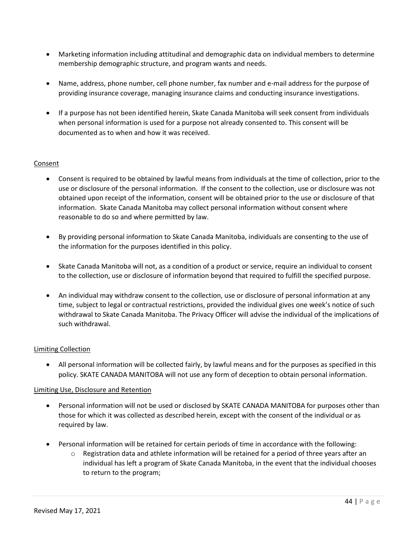- Marketing information including attitudinal and demographic data on individual members to determine membership demographic structure, and program wants and needs.
- Name, address, phone number, cell phone number, fax number and e-mail address for the purpose of providing insurance coverage, managing insurance claims and conducting insurance investigations.
- If a purpose has not been identified herein, Skate Canada Manitoba will seek consent from individuals when personal information is used for a purpose not already consented to. This consent will be documented as to when and how it was received.

# Consent

- Consent is required to be obtained by lawful means from individuals at the time of collection, prior to the use or disclosure of the personal information. If the consent to the collection, use or disclosure was not obtained upon receipt of the information, consent will be obtained prior to the use or disclosure of that information. Skate Canada Manitoba may collect personal information without consent where reasonable to do so and where permitted by law.
- By providing personal information to Skate Canada Manitoba, individuals are consenting to the use of the information for the purposes identified in this policy.
- Skate Canada Manitoba will not, as a condition of a product or service, require an individual to consent to the collection, use or disclosure of information beyond that required to fulfill the specified purpose.
- An individual may withdraw consent to the collection, use or disclosure of personal information at any time, subject to legal or contractual restrictions, provided the individual gives one week's notice of such withdrawal to Skate Canada Manitoba. The Privacy Officer will advise the individual of the implications of such withdrawal.

# Limiting Collection

• All personal information will be collected fairly, by lawful means and for the purposes as specified in this policy. SKATE CANADA MANITOBA will not use any form of deception to obtain personal information.

# Limiting Use, Disclosure and Retention

- Personal information will not be used or disclosed by SKATE CANADA MANITOBA for purposes other than those for which it was collected as described herein, except with the consent of the individual or as required by law.
- Personal information will be retained for certain periods of time in accordance with the following:
	- $\circ$  Registration data and athlete information will be retained for a period of three years after an individual has left a program of Skate Canada Manitoba, in the event that the individual chooses to return to the program;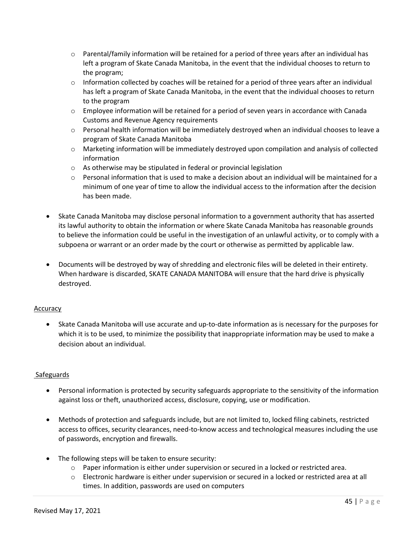- $\circ$  Parental/family information will be retained for a period of three years after an individual has left a program of Skate Canada Manitoba, in the event that the individual chooses to return to the program;
- $\circ$  Information collected by coaches will be retained for a period of three years after an individual has left a program of Skate Canada Manitoba, in the event that the individual chooses to return to the program
- $\circ$  Employee information will be retained for a period of seven years in accordance with Canada Customs and Revenue Agency requirements
- o Personal health information will be immediately destroyed when an individual chooses to leave a program of Skate Canada Manitoba
- o Marketing information will be immediately destroyed upon compilation and analysis of collected information
- o As otherwise may be stipulated in federal or provincial legislation
- $\circ$  Personal information that is used to make a decision about an individual will be maintained for a minimum of one year of time to allow the individual access to the information after the decision has been made.
- Skate Canada Manitoba may disclose personal information to a government authority that has asserted its lawful authority to obtain the information or where Skate Canada Manitoba has reasonable grounds to believe the information could be useful in the investigation of an unlawful activity, or to comply with a subpoena or warrant or an order made by the court or otherwise as permitted by applicable law.
- Documents will be destroyed by way of shredding and electronic files will be deleted in their entirety. When hardware is discarded, SKATE CANADA MANITOBA will ensure that the hard drive is physically destroyed.

# Accuracy

• Skate Canada Manitoba will use accurate and up-to-date information as is necessary for the purposes for which it is to be used, to minimize the possibility that inappropriate information may be used to make a decision about an individual.

# Safeguards

- Personal information is protected by security safeguards appropriate to the sensitivity of the information against loss or theft, unauthorized access, disclosure, copying, use or modification.
- Methods of protection and safeguards include, but are not limited to, locked filing cabinets, restricted access to offices, security clearances, need-to-know access and technological measures including the use of passwords, encryption and firewalls.
- The following steps will be taken to ensure security:
	- $\circ$  Paper information is either under supervision or secured in a locked or restricted area.
	- $\circ$  Electronic hardware is either under supervision or secured in a locked or restricted area at all times. In addition, passwords are used on computers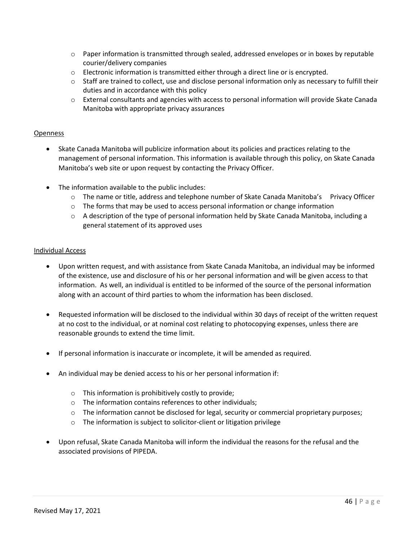- $\circ$  Paper information is transmitted through sealed, addressed envelopes or in boxes by reputable courier/delivery companies
- $\circ$  Electronic information is transmitted either through a direct line or is encrypted.
- $\circ$  Staff are trained to collect, use and disclose personal information only as necessary to fulfill their duties and in accordance with this policy
- o External consultants and agencies with access to personal information will provide Skate Canada Manitoba with appropriate privacy assurances

# Openness

- Skate Canada Manitoba will publicize information about its policies and practices relating to the management of personal information. This information is available through this policy, on Skate Canada Manitoba's web site or upon request by contacting the Privacy Officer.
- The information available to the public includes:
	- $\circ$  The name or title, address and telephone number of Skate Canada Manitoba's Privacy Officer
	- $\circ$  The forms that may be used to access personal information or change information
	- $\circ$  A description of the type of personal information held by Skate Canada Manitoba, including a general statement of its approved uses

# Individual Access

- Upon written request, and with assistance from Skate Canada Manitoba, an individual may be informed of the existence, use and disclosure of his or her personal information and will be given access to that information. As well, an individual is entitled to be informed of the source of the personal information along with an account of third parties to whom the information has been disclosed.
- Requested information will be disclosed to the individual within 30 days of receipt of the written request at no cost to the individual, or at nominal cost relating to photocopying expenses, unless there are reasonable grounds to extend the time limit.
- If personal information is inaccurate or incomplete, it will be amended as required.
- An individual may be denied access to his or her personal information if:
	- o This information is prohibitively costly to provide;
	- o The information contains references to other individuals;
	- $\circ$  The information cannot be disclosed for legal, security or commercial proprietary purposes;
	- o The information is subject to solicitor-client or litigation privilege
- Upon refusal, Skate Canada Manitoba will inform the individual the reasons for the refusal and the associated provisions of PIPEDA.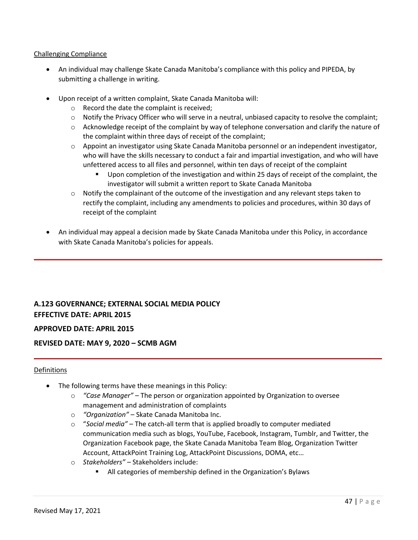# Challenging Compliance

- An individual may challenge Skate Canada Manitoba's compliance with this policy and PIPEDA, by submitting a challenge in writing.
- Upon receipt of a written complaint, Skate Canada Manitoba will:
	- o Record the date the complaint is received;
	- $\circ$  Notify the Privacy Officer who will serve in a neutral, unbiased capacity to resolve the complaint;
	- o Acknowledge receipt of the complaint by way of telephone conversation and clarify the nature of the complaint within three days of receipt of the complaint;
	- o Appoint an investigator using Skate Canada Manitoba personnel or an independent investigator, who will have the skills necessary to conduct a fair and impartial investigation, and who will have unfettered access to all files and personnel, within ten days of receipt of the complaint
		- Upon completion of the investigation and within 25 days of receipt of the complaint, the investigator will submit a written report to Skate Canada Manitoba
	- o Notify the complainant of the outcome of the investigation and any relevant steps taken to rectify the complaint, including any amendments to policies and procedures, within 30 days of receipt of the complaint
- An individual may appeal a decision made by Skate Canada Manitoba under this Policy, in accordance with Skate Canada Manitoba's policies for appeals.

# <span id="page-46-0"></span>**A.123 GOVERNANCE; EXTERNAL SOCIAL MEDIA POLICY EFFECTIVE DATE: APRIL 2015**

# **APPROVED DATE: APRIL 2015**

# **REVISED DATE: MAY 9, 2020 – SCMB AGM**

# Definitions

- The following terms have these meanings in this Policy:
	- o *"Case Manager" –* The person or organization appointed by Organization to oversee management and administration of complaints
	- o *"Organization"* Skate Canada Manitoba Inc.
	- o "*Social media"* The catch-all term that is applied broadly to computer mediated communication media such as blogs, YouTube, Facebook, Instagram, Tumblr, and Twitter, the Organization Facebook page, the Skate Canada Manitoba Team Blog, Organization Twitter Account, AttackPoint Training Log, AttackPoint Discussions, DOMA, etc…
	- o *Stakeholders"* Stakeholders include:
		- All categories of membership defined in the Organization's Bylaws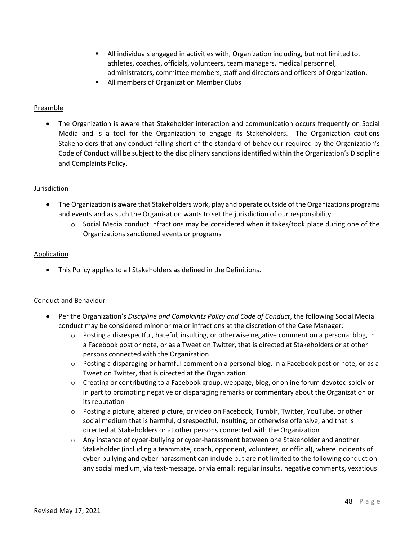- All individuals engaged in activities with, Organization including, but not limited to, athletes, coaches, officials, volunteers, team managers, medical personnel, administrators, committee members, staff and directors and officers of Organization.
- All members of Organization-Member Clubs

# Preamble

• The Organization is aware that Stakeholder interaction and communication occurs frequently on Social Media and is a tool for the Organization to engage its Stakeholders. The Organization cautions Stakeholders that any conduct falling short of the standard of behaviour required by the Organization's Code of Conduct will be subject to the disciplinary sanctions identified within the Organization's Discipline and Complaints Policy.

# Jurisdiction

- The Organization is aware that Stakeholders work, play and operate outside of the Organizations programs and events and as such the Organization wants to set the jurisdiction of our responsibility.
	- $\circ$  Social Media conduct infractions may be considered when it takes/took place during one of the Organizations sanctioned events or programs

# **Application**

• This Policy applies to all Stakeholders as defined in the Definitions.

# Conduct and Behaviour

- Per the Organization's *Discipline and Complaints Policy and Code of Conduct*, the following Social Media conduct may be considered minor or major infractions at the discretion of the Case Manager:
	- $\circ$  Posting a disrespectful, hateful, insulting, or otherwise negative comment on a personal blog, in a Facebook post or note, or as a Tweet on Twitter, that is directed at Stakeholders or at other persons connected with the Organization
	- o Posting a disparaging or harmful comment on a personal blog, in a Facebook post or note, or as a Tweet on Twitter, that is directed at the Organization
	- o Creating or contributing to a Facebook group, webpage, blog, or online forum devoted solely or in part to promoting negative or disparaging remarks or commentary about the Organization or its reputation
	- $\circ$  Posting a picture, altered picture, or video on Facebook, Tumblr, Twitter, YouTube, or other social medium that is harmful, disrespectful, insulting, or otherwise offensive, and that is directed at Stakeholders or at other persons connected with the Organization
	- $\circ$  Any instance of cyber-bullying or cyber-harassment between one Stakeholder and another Stakeholder (including a teammate, coach, opponent, volunteer, or official), where incidents of cyber-bullying and cyber-harassment can include but are not limited to the following conduct on any social medium, via text-message, or via email: regular insults, negative comments, vexatious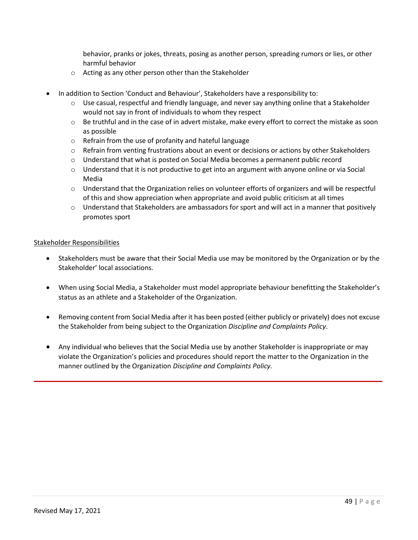behavior, pranks or jokes, threats, posing as another person, spreading rumors or lies, or other harmful behavior

- o Acting as any other person other than the Stakeholder
- In addition to Section 'Conduct and Behaviour', Stakeholders have a responsibility to:
	- o Use casual, respectful and friendly language, and never say anything online that a Stakeholder would not say in front of individuals to whom they respect
	- $\circ$  Be truthful and in the case of in advert mistake, make every effort to correct the mistake as soon as possible
	- o Refrain from the use of profanity and hateful language
	- $\circ$  Refrain from venting frustrations about an event or decisions or actions by other Stakeholders
	- $\circ$  Understand that what is posted on Social Media becomes a permanent public record
	- $\circ$  Understand that it is not productive to get into an argument with anyone online or via Social Media
	- $\circ$  Understand that the Organization relies on volunteer efforts of organizers and will be respectful of this and show appreciation when appropriate and avoid public criticism at all times
	- $\circ$  Understand that Stakeholders are ambassadors for sport and will act in a manner that positively promotes sport

# Stakeholder Responsibilities

- Stakeholders must be aware that their Social Media use may be monitored by the Organization or by the Stakeholder' local associations.
- When using Social Media, a Stakeholder must model appropriate behaviour benefitting the Stakeholder's status as an athlete and a Stakeholder of the Organization.
- Removing content from Social Media after it has been posted (either publicly or privately) does not excuse the Stakeholder from being subject to the Organization *Discipline and Complaints Policy*.
- Any individual who believes that the Social Media use by another Stakeholder is inappropriate or may violate the Organization's policies and procedures should report the matter to the Organization in the manner outlined by the Organization *Discipline and Complaints Policy.*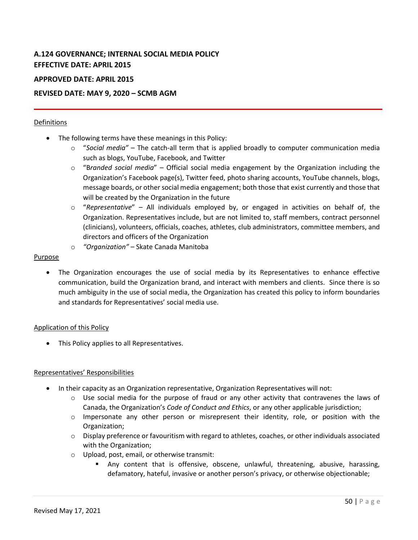# <span id="page-49-0"></span>**A.124 GOVERNANCE; INTERNAL SOCIAL MEDIA POLICY EFFECTIVE DATE: APRIL 2015**

# **APPROVED DATE: APRIL 2015**

# **REVISED DATE: MAY 9, 2020 – SCMB AGM**

# Definitions

- The following terms have these meanings in this Policy:
	- o "*Social media"* The catch-all term that is applied broadly to computer communication media such as blogs, YouTube, Facebook, and Twitter
	- o "B*randed social media*" Official social media engagement by the Organization including the Organization's Facebook page(s), Twitter feed, photo sharing accounts, YouTube channels, blogs, message boards, or other social media engagement; both those that exist currently and those that will be created by the Organization in the future
	- o "*Representative*" All individuals employed by, or engaged in activities on behalf of, the Organization. Representatives include, but are not limited to, staff members, contract personnel (clinicians), volunteers, officials, coaches, athletes, club administrators, committee members, and directors and officers of the Organization
	- o *"Organization"* Skate Canada Manitoba

# Purpose

• The Organization encourages the use of social media by its Representatives to enhance effective communication, build the Organization brand, and interact with members and clients. Since there is so much ambiguity in the use of social media, the Organization has created this policy to inform boundaries and standards for Representatives' social media use.

#### Application of this Policy

• This Policy applies to all Representatives.

# Representatives' Responsibilities

- In their capacity as an Organization representative, Organization Representatives will not:
	- $\circ$  Use social media for the purpose of fraud or any other activity that contravenes the laws of Canada, the Organization's *Code of Conduct and Ethics*, or any other applicable jurisdiction;
	- $\circ$  Impersonate any other person or misrepresent their identity, role, or position with the Organization;
	- $\circ$  Display preference or favouritism with regard to athletes, coaches, or other individuals associated with the Organization;
	- o Upload, post, email, or otherwise transmit:
		- Any content that is offensive, obscene, unlawful, threatening, abusive, harassing, defamatory, hateful, invasive or another person's privacy, or otherwise objectionable;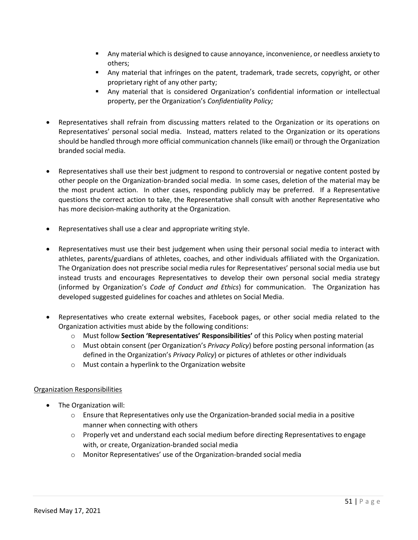- Any material which is designed to cause annoyance, inconvenience, or needless anxiety to others;
- Any material that infringes on the patent, trademark, trade secrets, copyright, or other proprietary right of any other party;
- Any material that is considered Organization's confidential information or intellectual property, per the Organization's *Confidentiality Policy;*
- Representatives shall refrain from discussing matters related to the Organization or its operations on Representatives' personal social media. Instead, matters related to the Organization or its operations should be handled through more official communication channels (like email) or through the Organization branded social media.
- Representatives shall use their best judgment to respond to controversial or negative content posted by other people on the Organization-branded social media. In some cases, deletion of the material may be the most prudent action. In other cases, responding publicly may be preferred. If a Representative questions the correct action to take, the Representative shall consult with another Representative who has more decision-making authority at the Organization.
- Representatives shall use a clear and appropriate writing style.
- Representatives must use their best judgement when using their personal social media to interact with athletes, parents/guardians of athletes, coaches, and other individuals affiliated with the Organization. The Organization does not prescribe social media rules for Representatives' personal social media use but instead trusts and encourages Representatives to develop their own personal social media strategy (informed by Organization's *Code of Conduct and Ethics*) for communication. The Organization has developed suggested guidelines for coaches and athletes on Social Media.
- Representatives who create external websites, Facebook pages, or other social media related to the Organization activities must abide by the following conditions:
	- o Must follow **Section 'Representatives' Responsibilities'** of this Policy when posting material
	- o Must obtain consent (per Organization's *Privacy Policy*) before posting personal information (as defined in the Organization's *Privacy Policy*) or pictures of athletes or other individuals
	- o Must contain a hyperlink to the Organization website

# Organization Responsibilities

- The Organization will:
	- $\circ$  Ensure that Representatives only use the Organization-branded social media in a positive manner when connecting with others
	- o Properly vet and understand each social medium before directing Representatives to engage with, or create, Organization-branded social media
	- o Monitor Representatives' use of the Organization-branded social media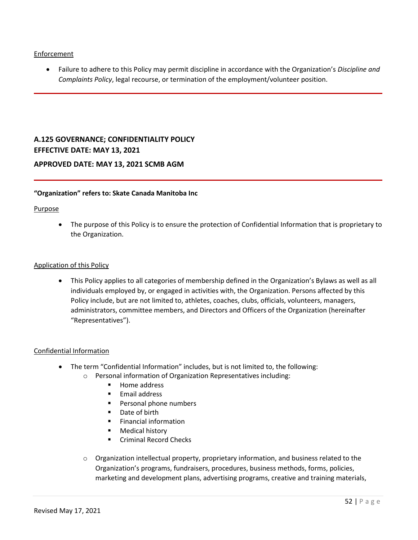# Enforcement

• Failure to adhere to this Policy may permit discipline in accordance with the Organization's *Discipline and Complaints Policy*, legal recourse, or termination of the employment/volunteer position.

# <span id="page-51-0"></span>**A.125 GOVERNANCE; CONFIDENTIALITY POLICY EFFECTIVE DATE: MAY 13, 2021**

# **APPROVED DATE: MAY 13, 2021 SCMB AGM**

# **"Organization" refers to: Skate Canada Manitoba Inc**

# Purpose

• The purpose of this Policy is to ensure the protection of Confidential Information that is proprietary to the Organization.

# Application of this Policy

• This Policy applies to all categories of membership defined in the Organization's Bylaws as well as all individuals employed by, or engaged in activities with, the Organization. Persons affected by this Policy include, but are not limited to, athletes, coaches, clubs, officials, volunteers, managers, administrators, committee members, and Directors and Officers of the Organization (hereinafter "Representatives").

# Confidential Information

- The term "Confidential Information" includes, but is not limited to, the following:
	- o Personal information of Organization Representatives including:
		- Home address
		- Email address
		- Personal phone numbers
		- Date of birth
		- Financial information
		- Medical history
		- Criminal Record Checks
	- $\circ$  Organization intellectual property, proprietary information, and business related to the Organization's programs, fundraisers, procedures, business methods, forms, policies, marketing and development plans, advertising programs, creative and training materials,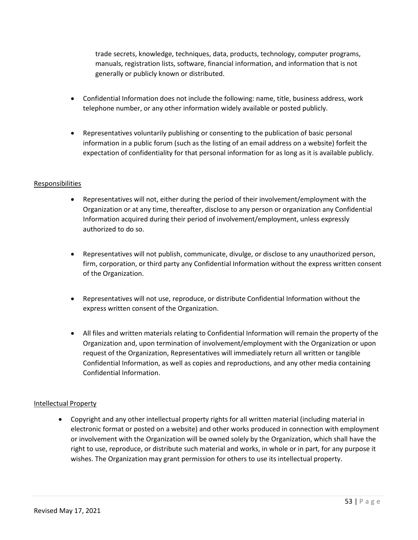trade secrets, knowledge, techniques, data, products, technology, computer programs, manuals, registration lists, software, financial information, and information that is not generally or publicly known or distributed.

- Confidential Information does not include the following: name, title, business address, work telephone number, or any other information widely available or posted publicly.
- Representatives voluntarily publishing or consenting to the publication of basic personal information in a public forum (such as the listing of an email address on a website) forfeit the expectation of confidentiality for that personal information for as long as it is available publicly.

# Responsibilities

- Representatives will not, either during the period of their involvement/employment with the Organization or at any time, thereafter, disclose to any person or organization any Confidential Information acquired during their period of involvement/employment, unless expressly authorized to do so.
- Representatives will not publish, communicate, divulge, or disclose to any unauthorized person, firm, corporation, or third party any Confidential Information without the express written consent of the Organization.
- Representatives will not use, reproduce, or distribute Confidential Information without the express written consent of the Organization.
- All files and written materials relating to Confidential Information will remain the property of the Organization and, upon termination of involvement/employment with the Organization or upon request of the Organization, Representatives will immediately return all written or tangible Confidential Information, as well as copies and reproductions, and any other media containing Confidential Information.

# Intellectual Property

• Copyright and any other intellectual property rights for all written material (including material in electronic format or posted on a website) and other works produced in connection with employment or involvement with the Organization will be owned solely by the Organization, which shall have the right to use, reproduce, or distribute such material and works, in whole or in part, for any purpose it wishes. The Organization may grant permission for others to use its intellectual property.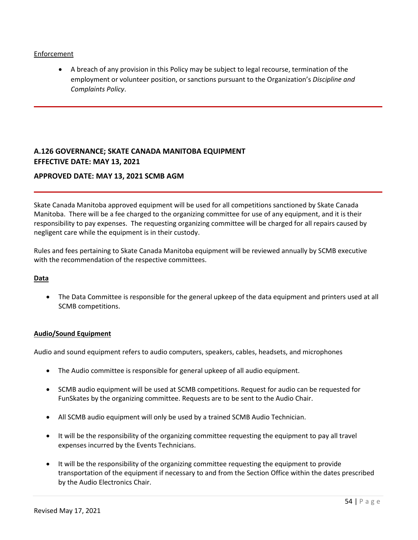# Enforcement

• A breach of any provision in this Policy may be subject to legal recourse, termination of the employment or volunteer position, or sanctions pursuant to the Organization's *Discipline and Complaints Policy*.

# <span id="page-53-0"></span>**A.126 GOVERNANCE; SKATE CANADA MANITOBA EQUIPMENT EFFECTIVE DATE: MAY 13, 2021**

# **APPROVED DATE: MAY 13, 2021 SCMB AGM**

Skate Canada Manitoba approved equipment will be used for all competitions sanctioned by Skate Canada Manitoba. There will be a fee charged to the organizing committee for use of any equipment, and it is their responsibility to pay expenses. The requesting organizing committee will be charged for all repairs caused by negligent care while the equipment is in their custody.

Rules and fees pertaining to Skate Canada Manitoba equipment will be reviewed annually by SCMB executive with the recommendation of the respective committees.

#### **Data**

• The Data Committee is responsible for the general upkeep of the data equipment and printers used at all SCMB competitions.

#### **Audio/Sound Equipment**

Audio and sound equipment refers to audio computers, speakers, cables, headsets, and microphones

- The Audio committee is responsible for general upkeep of all audio equipment.
- SCMB audio equipment will be used at SCMB competitions. Request for audio can be requested for FunSkates by the organizing committee. Requests are to be sent to the Audio Chair.
- All SCMB audio equipment will only be used by a trained SCMB Audio Technician.
- It will be the responsibility of the organizing committee requesting the equipment to pay all travel expenses incurred by the Events Technicians.
- It will be the responsibility of the organizing committee requesting the equipment to provide transportation of the equipment if necessary to and from the Section Office within the dates prescribed by the Audio Electronics Chair.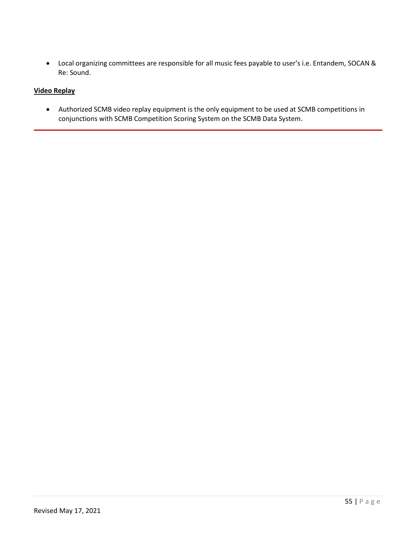• Local organizing committees are responsible for all music fees payable to user's i.e. Entandem, SOCAN & Re: Sound.

# **Video Replay**

• Authorized SCMB video replay equipment is the only equipment to be used at SCMB competitions in conjunctions with SCMB Competition Scoring System on the SCMB Data System.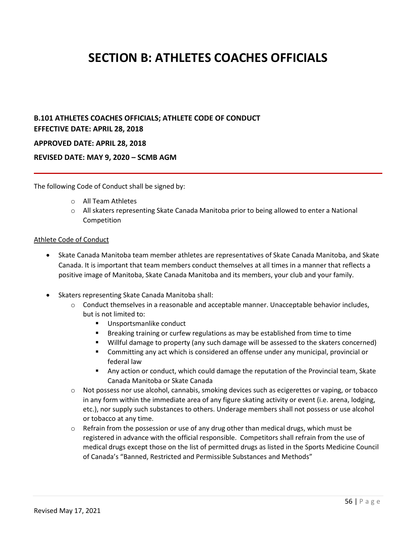# <span id="page-55-0"></span>**SECTION B: ATHLETES COACHES OFFICIALS**

# <span id="page-55-1"></span>**B.101 ATHLETES COACHES OFFICIALS; ATHLETE CODE OF CONDUCT EFFECTIVE DATE: APRIL 28, 2018**

# **APPROVED DATE: APRIL 28, 2018**

# **REVISED DATE: MAY 9, 2020 – SCMB AGM**

The following Code of Conduct shall be signed by:

- o All Team Athletes
- $\circ$  All skaters representing Skate Canada Manitoba prior to being allowed to enter a National Competition

#### Athlete Code of Conduct

- Skate Canada Manitoba team member athletes are representatives of Skate Canada Manitoba, and Skate Canada. It is important that team members conduct themselves at all times in a manner that reflects a positive image of Manitoba, Skate Canada Manitoba and its members, your club and your family.
- Skaters representing Skate Canada Manitoba shall:
	- o Conduct themselves in a reasonable and acceptable manner. Unacceptable behavior includes, but is not limited to:
		- Unsportsmanlike conduct
		- Breaking training or curfew regulations as may be established from time to time
		- Willful damage to property (any such damage will be assessed to the skaters concerned)
		- Committing any act which is considered an offense under any municipal, provincial or federal law
		- **■** Any action or conduct, which could damage the reputation of the Provincial team, Skate Canada Manitoba or Skate Canada
	- $\circ$  Not possess nor use alcohol, cannabis, smoking devices such as ecigerettes or vaping, or tobacco in any form within the immediate area of any figure skating activity or event (i.e. arena, lodging, etc.), nor supply such substances to others. Underage members shall not possess or use alcohol or tobacco at any time.
	- $\circ$  Refrain from the possession or use of any drug other than medical drugs, which must be registered in advance with the official responsible. Competitors shall refrain from the use of medical drugs except those on the list of permitted drugs as listed in the Sports Medicine Council of Canada's "Banned, Restricted and Permissible Substances and Methods"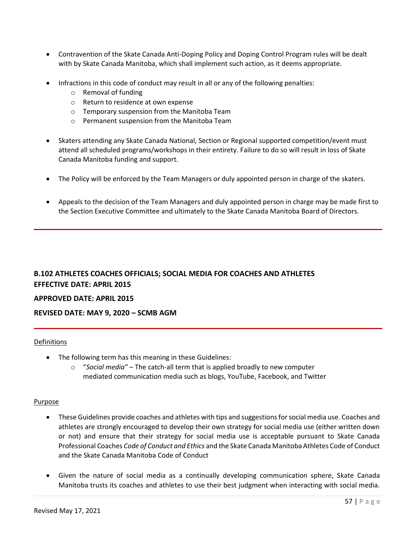- Contravention of the Skate Canada Anti-Doping Policy and Doping Control Program rules will be dealt with by Skate Canada Manitoba, which shall implement such action, as it deems appropriate.
- Infractions in this code of conduct may result in all or any of the following penalties:
	- o Removal of funding
	- o Return to residence at own expense
	- o Temporary suspension from the Manitoba Team
	- o Permanent suspension from the Manitoba Team
- Skaters attending any Skate Canada National, Section or Regional supported competition/event must attend all scheduled programs/workshops in their entirety. Failure to do so will result in loss of Skate Canada Manitoba funding and support.
- The Policy will be enforced by the Team Managers or duly appointed person in charge of the skaters.
- Appeals to the decision of the Team Managers and duly appointed person in charge may be made first to the Section Executive Committee and ultimately to the Skate Canada Manitoba Board of Directors.

# <span id="page-56-0"></span>**B.102 ATHLETES COACHES OFFICIALS; SOCIAL MEDIA FOR COACHES AND ATHLETES EFFECTIVE DATE: APRIL 2015**

# **APPROVED DATE: APRIL 2015**

# **REVISED DATE: MAY 9, 2020 – SCMB AGM**

# Definitions

- The following term has this meaning in these Guidelines:
	- o "*Social media"* The catch-all term that is applied broadly to new computer mediated communication media such as blogs, YouTube, Facebook, and Twitter

#### Purpose

- These Guidelines provide coaches and athletes with tips and suggestions for social media use. Coaches and athletes are strongly encouraged to develop their own strategy for social media use (either written down or not) and ensure that their strategy for social media use is acceptable pursuant to Skate Canada Professional Coaches *Code of Conduct and Ethics* and the Skate Canada Manitoba Athletes Code of Conduct and the Skate Canada Manitoba Code of Conduct
- Given the nature of social media as a continually developing communication sphere, Skate Canada Manitoba trusts its coaches and athletes to use their best judgment when interacting with social media.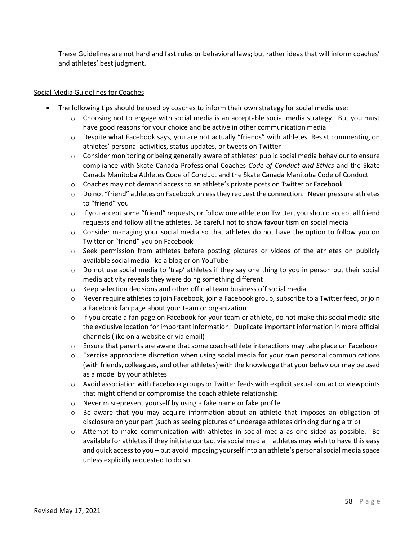These Guidelines are not hard and fast rules or behavioral laws; but rather ideas that will inform coaches' and athletes' best judgment.

# Social Media Guidelines for Coaches

- The following tips should be used by coaches to inform their own strategy for social media use:
	- $\circ$  Choosing not to engage with social media is an acceptable social media strategy. But you must have good reasons for your choice and be active in other communication media
	- o Despite what Facebook says, you are not actually "friends" with athletes. Resist commenting on athletes' personal activities, status updates, or tweets on Twitter
	- o Consider monitoring or being generally aware of athletes' public social media behaviour to ensure compliance with Skate Canada Professional Coaches *Code of Conduct and Ethics* and the Skate Canada Manitoba Athletes Code of Conduct and the Skate Canada Manitoba Code of Conduct
	- $\circ$  Coaches may not demand access to an athlete's private posts on Twitter or Facebook
	- $\circ$  Do not "friend" athletes on Facebook unless they request the connection. Never pressure athletes to "friend" you
	- $\circ$  If you accept some "friend" requests, or follow one athlete on Twitter, you should accept all friend requests and follow all the athletes. Be careful not to show favouritism on social media
	- $\circ$  Consider managing your social media so that athletes do not have the option to follow you on Twitter or "friend" you on Facebook
	- $\circ$  Seek permission from athletes before posting pictures or videos of the athletes on publicly available social media like a blog or on YouTube
	- o Do not use social media to 'trap' athletes if they say one thing to you in person but their social media activity reveals they were doing something different
	- o Keep selection decisions and other official team business off social media
	- $\circ$  Never require athletes to join Facebook, join a Facebook group, subscribe to a Twitter feed, or join a Facebook fan page about your team or organization
	- $\circ$  If you create a fan page on Facebook for your team or athlete, do not make this social media site the exclusive location for important information. Duplicate important information in more official channels (like on a website or via email)
	- $\circ$  Ensure that parents are aware that some coach-athlete interactions may take place on Facebook
	- $\circ$  Exercise appropriate discretion when using social media for your own personal communications (with friends, colleagues, and other athletes) with the knowledge that your behaviour may be used as a model by your athletes
	- $\circ$  Avoid association with Facebook groups or Twitter feeds with explicit sexual contact or viewpoints that might offend or compromise the coach athlete relationship
	- o Never misrepresent yourself by using a fake name or fake profile
	- o Be aware that you may acquire information about an athlete that imposes an obligation of disclosure on your part (such as seeing pictures of underage athletes drinking during a trip)
	- $\circ$  Attempt to make communication with athletes in social media as one sided as possible. Be available for athletes if they initiate contact via social media – athletes may wish to have this easy and quick access to you – but avoid imposing yourself into an athlete's personal social media space unless explicitly requested to do so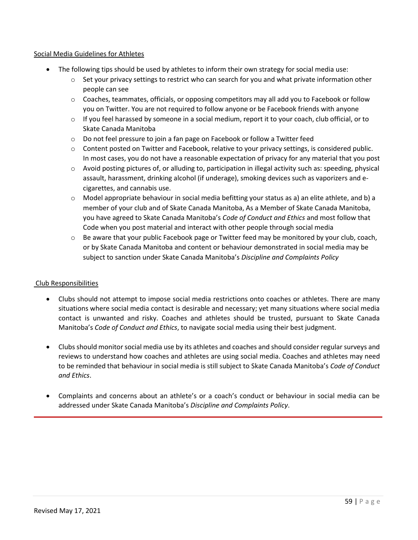# Social Media Guidelines for Athletes

- The following tips should be used by athletes to inform their own strategy for social media use:
	- $\circ$  Set your privacy settings to restrict who can search for you and what private information other people can see
	- o Coaches, teammates, officials, or opposing competitors may all add you to Facebook or follow you on Twitter. You are not required to follow anyone or be Facebook friends with anyone
	- $\circ$  If you feel harassed by someone in a social medium, report it to your coach, club official, or to Skate Canada Manitoba
	- o Do not feel pressure to join a fan page on Facebook or follow a Twitter feed
	- o Content posted on Twitter and Facebook, relative to your privacy settings, is considered public. In most cases, you do not have a reasonable expectation of privacy for any material that you post
	- o Avoid posting pictures of, or alluding to, participation in illegal activity such as: speeding, physical assault, harassment, drinking alcohol (if underage), smoking devices such as vaporizers and ecigarettes, and cannabis use.
	- $\circ$  Model appropriate behaviour in social media befitting your status as a) an elite athlete, and b) a member of your club and of Skate Canada Manitoba, As a Member of Skate Canada Manitoba, you have agreed to Skate Canada Manitoba's *Code of Conduct and Ethics* and most follow that Code when you post material and interact with other people through social media
	- $\circ$  Be aware that your public Facebook page or Twitter feed may be monitored by your club, coach, or by Skate Canada Manitoba and content or behaviour demonstrated in social media may be subject to sanction under Skate Canada Manitoba's *Discipline and Complaints Policy*

# Club Responsibilities

- Clubs should not attempt to impose social media restrictions onto coaches or athletes. There are many situations where social media contact is desirable and necessary; yet many situations where social media contact is unwanted and risky. Coaches and athletes should be trusted, pursuant to Skate Canada Manitoba's *Code of Conduct and Ethics*, to navigate social media using their best judgment.
- Clubs should monitor social media use by its athletes and coaches and should consider regular surveys and reviews to understand how coaches and athletes are using social media. Coaches and athletes may need to be reminded that behaviour in social media is still subject to Skate Canada Manitoba's *Code of Conduct and Ethics*.
- Complaints and concerns about an athlete's or a coach's conduct or behaviour in social media can be addressed under Skate Canada Manitoba's *Discipline and Complaints Policy*.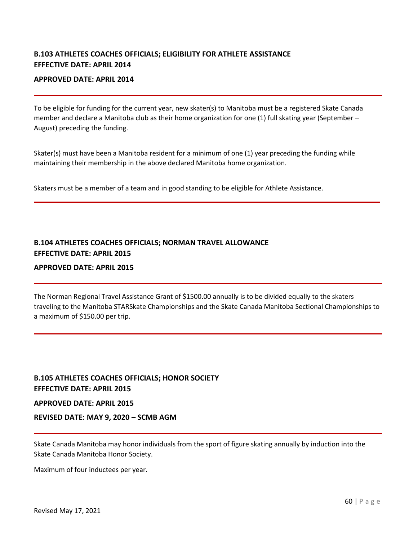# <span id="page-59-0"></span>**B.103 ATHLETES COACHES OFFICIALS; ELIGIBILITY FOR ATHLETE ASSISTANCE EFFECTIVE DATE: APRIL 2014**

# **APPROVED DATE: APRIL 2014**

To be eligible for funding for the current year, new skater(s) to Manitoba must be a registered Skate Canada member and declare a Manitoba club as their home organization for one (1) full skating year (September – August) preceding the funding.

Skater(s) must have been a Manitoba resident for a minimum of one (1) year preceding the funding while maintaining their membership in the above declared Manitoba home organization.

Skaters must be a member of a team and in good standing to be eligible for Athlete Assistance.

# <span id="page-59-1"></span>**B.104 ATHLETES COACHES OFFICIALS; NORMAN TRAVEL ALLOWANCE EFFECTIVE DATE: APRIL 2015**

# **APPROVED DATE: APRIL 2015**

The Norman Regional Travel Assistance Grant of \$1500.00 annually is to be divided equally to the skaters traveling to the Manitoba STARSkate Championships and the Skate Canada Manitoba Sectional Championships to a maximum of \$150.00 per trip.

# <span id="page-59-2"></span>**B.105 ATHLETES COACHES OFFICIALS; HONOR SOCIETY EFFECTIVE DATE: APRIL 2015**

#### **APPROVED DATE: APRIL 2015**

# **REVISED DATE: MAY 9, 2020 – SCMB AGM**

Skate Canada Manitoba may honor individuals from the sport of figure skating annually by induction into the Skate Canada Manitoba Honor Society.

Maximum of four inductees per year.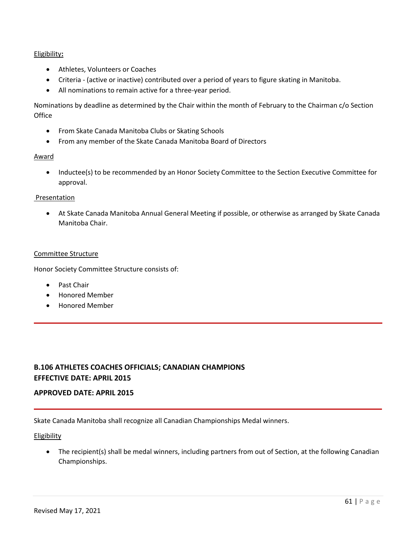# Eligibility**:**

- Athletes, Volunteers or Coaches
- Criteria (active or inactive) contributed over a period of years to figure skating in Manitoba.
- All nominations to remain active for a three-year period.

Nominations by deadline as determined by the Chair within the month of February to the Chairman c/o Section **Office** 

- From Skate Canada Manitoba Clubs or Skating Schools
- From any member of the Skate Canada Manitoba Board of Directors

# Award

• Inductee(s) to be recommended by an Honor Society Committee to the Section Executive Committee for approval.

# Presentation

• At Skate Canada Manitoba Annual General Meeting if possible, or otherwise as arranged by Skate Canada Manitoba Chair.

# Committee Structure

Honor Society Committee Structure consists of:

- Past Chair
- Honored Member
- Honored Member

# <span id="page-60-0"></span>**B.106 ATHLETES COACHES OFFICIALS; CANADIAN CHAMPIONS EFFECTIVE DATE: APRIL 2015**

# **APPROVED DATE: APRIL 2015**

Skate Canada Manitoba shall recognize all Canadian Championships Medal winners.

#### Eligibility

• The recipient(s) shall be medal winners, including partners from out of Section, at the following Canadian Championships.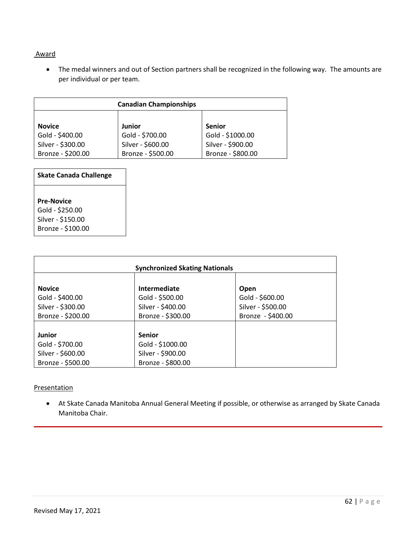# Award

• The medal winners and out of Section partners shall be recognized in the following way. The amounts are per individual or per team.

| <b>Canadian Championships</b>          |                                        |                                        |
|----------------------------------------|----------------------------------------|----------------------------------------|
| <b>Novice</b>                          | <b>Junior</b>                          | <b>Senior</b>                          |
| Gold - \$400.00                        | Gold - \$700.00                        | Gold - \$1000.00                       |
| Silver - \$300.00<br>Bronze - \$200.00 | Silver - \$600.00<br>Bronze - \$500.00 | Silver - \$900.00<br>Bronze - \$800.00 |

| <b>Skate Canada Challenge</b> |  |
|-------------------------------|--|
|                               |  |
| <b>Pre-Novice</b>             |  |
| Gold - \$250.00               |  |
| Silver - \$150.00             |  |
| Bronze - \$100.00             |  |

| <b>Synchronized Skating Nationals</b> |                   |                   |  |
|---------------------------------------|-------------------|-------------------|--|
| <b>Novice</b>                         | Intermediate      | Open              |  |
| Gold - \$400.00                       | Gold - \$500.00   | Gold - \$600.00   |  |
| Silver - \$300.00                     | Silver - \$400.00 | Silver - \$500.00 |  |
| Bronze - \$200.00                     | Bronze - \$300.00 | Bronze - \$400.00 |  |
|                                       |                   |                   |  |
| Junior                                | <b>Senior</b>     |                   |  |
| Gold - \$700.00                       | Gold - \$1000.00  |                   |  |
| Silver - \$600.00                     | Silver - \$900.00 |                   |  |
| Bronze - \$500.00                     | Bronze - \$800.00 |                   |  |

# **Presentation**

• At Skate Canada Manitoba Annual General Meeting if possible, or otherwise as arranged by Skate Canada Manitoba Chair.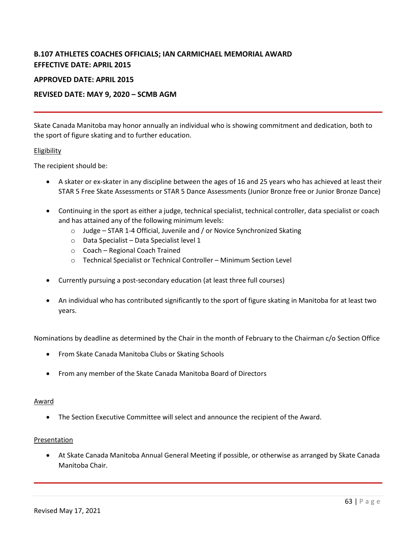# <span id="page-62-0"></span>**B.107 ATHLETES COACHES OFFICIALS; IAN CARMICHAEL MEMORIAL AWARD EFFECTIVE DATE: APRIL 2015**

# **APPROVED DATE: APRIL 2015**

# **REVISED DATE: MAY 9, 2020 – SCMB AGM**

Skate Canada Manitoba may honor annually an individual who is showing commitment and dedication, both to the sport of figure skating and to further education.

# Eligibility

The recipient should be:

- A skater or ex-skater in any discipline between the ages of 16 and 25 years who has achieved at least their STAR 5 Free Skate Assessments or STAR 5 Dance Assessments (Junior Bronze free or Junior Bronze Dance)
- Continuing in the sport as either a judge, technical specialist, technical controller, data specialist or coach and has attained any of the following minimum levels:
	- o Judge STAR 1-4 Official, Juvenile and / or Novice Synchronized Skating
	- o Data Specialist Data Specialist level 1
	- o Coach Regional Coach Trained
	- o Technical Specialist or Technical Controller Minimum Section Level
- Currently pursuing a post-secondary education (at least three full courses)
- An individual who has contributed significantly to the sport of figure skating in Manitoba for at least two years.

Nominations by deadline as determined by the Chair in the month of February to the Chairman c/o Section Office

- From Skate Canada Manitoba Clubs or Skating Schools
- From any member of the Skate Canada Manitoba Board of Directors

#### Award

• The Section Executive Committee will select and announce the recipient of the Award.

#### Presentation

• At Skate Canada Manitoba Annual General Meeting if possible, or otherwise as arranged by Skate Canada Manitoba Chair.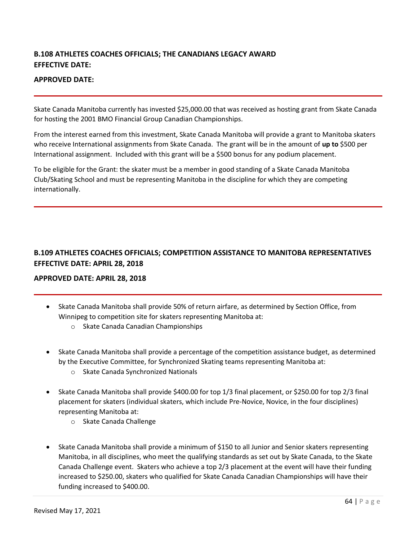# <span id="page-63-0"></span>**B.108 ATHLETES COACHES OFFICIALS; THE CANADIANS LEGACY AWARD EFFECTIVE DATE:**

# **APPROVED DATE:**

Skate Canada Manitoba currently has invested \$25,000.00 that was received as hosting grant from Skate Canada for hosting the 2001 BMO Financial Group Canadian Championships.

From the interest earned from this investment, Skate Canada Manitoba will provide a grant to Manitoba skaters who receive International assignments from Skate Canada. The grant will be in the amount of **up to** \$500 per International assignment. Included with this grant will be a \$500 bonus for any podium placement.

To be eligible for the Grant: the skater must be a member in good standing of a Skate Canada Manitoba Club/Skating School and must be representing Manitoba in the discipline for which they are competing internationally.

# <span id="page-63-1"></span>**B.109 ATHLETES COACHES OFFICIALS; COMPETITION ASSISTANCE TO MANITOBA REPRESENTATIVES EFFECTIVE DATE: APRIL 28, 2018**

# **APPROVED DATE: APRIL 28, 2018**

- Skate Canada Manitoba shall provide 50% of return airfare, as determined by Section Office, from Winnipeg to competition site for skaters representing Manitoba at:
	- o Skate Canada Canadian Championships
- Skate Canada Manitoba shall provide a percentage of the competition assistance budget, as determined by the Executive Committee, for Synchronized Skating teams representing Manitoba at:
	- o Skate Canada Synchronized Nationals
- Skate Canada Manitoba shall provide \$400.00 for top 1/3 final placement, or \$250.00 for top 2/3 final placement for skaters (individual skaters, which include Pre-Novice, Novice, in the four disciplines) representing Manitoba at:
	- o Skate Canada Challenge
- Skate Canada Manitoba shall provide a minimum of \$150 to all Junior and Senior skaters representing Manitoba, in all disciplines, who meet the qualifying standards as set out by Skate Canada, to the Skate Canada Challenge event. Skaters who achieve a top 2/3 placement at the event will have their funding increased to \$250.00, skaters who qualified for Skate Canada Canadian Championships will have their funding increased to \$400.00.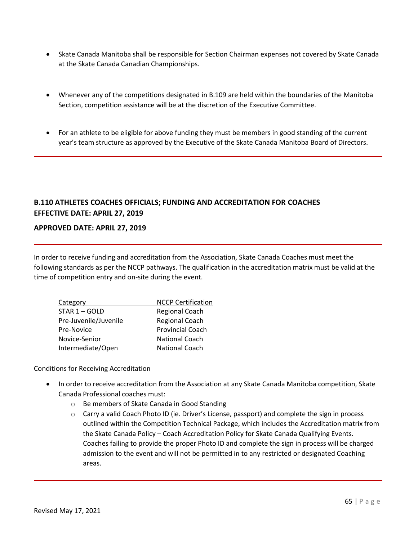- Skate Canada Manitoba shall be responsible for Section Chairman expenses not covered by Skate Canada at the Skate Canada Canadian Championships.
- Whenever any of the competitions designated in B.109 are held within the boundaries of the Manitoba Section, competition assistance will be at the discretion of the Executive Committee.
- For an athlete to be eligible for above funding they must be members in good standing of the current year's team structure as approved by the Executive of the Skate Canada Manitoba Board of Directors.

# <span id="page-64-0"></span>**B.110 ATHLETES COACHES OFFICIALS; FUNDING AND ACCREDITATION FOR COACHES EFFECTIVE DATE: APRIL 27, 2019**

# **APPROVED DATE: APRIL 27, 2019**

In order to receive funding and accreditation from the Association, Skate Canada Coaches must meet the following standards as per the NCCP pathways. The qualification in the accreditation matrix must be valid at the time of competition entry and on-site during the event.

| Category              | <b>NCCP Certification</b> |
|-----------------------|---------------------------|
| $STAR 1 - GOLD$       | <b>Regional Coach</b>     |
| Pre-Juvenile/Juvenile | <b>Regional Coach</b>     |
| Pre-Novice            | <b>Provincial Coach</b>   |
| Novice-Senior         | <b>National Coach</b>     |
| Intermediate/Open     | <b>National Coach</b>     |

# Conditions for Receiving Accreditation

- In order to receive accreditation from the Association at any Skate Canada Manitoba competition, Skate Canada Professional coaches must:
	- o Be members of Skate Canada in Good Standing
	- $\circ$  Carry a valid Coach Photo ID (ie. Driver's License, passport) and complete the sign in process outlined within the Competition Technical Package, which includes the Accreditation matrix from the Skate Canada Policy – Coach Accreditation Policy for Skate Canada Qualifying Events. Coaches failing to provide the proper Photo ID and complete the sign in process will be charged admission to the event and will not be permitted in to any restricted or designated Coaching areas.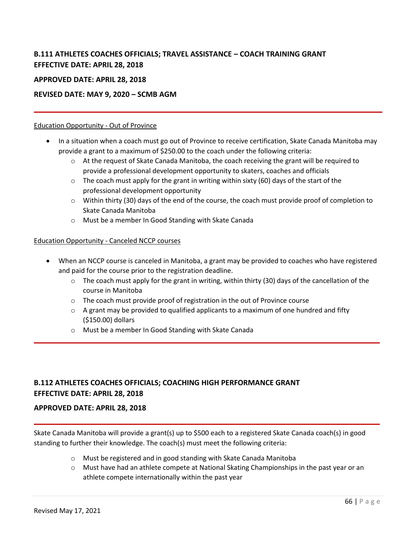# <span id="page-65-0"></span>**B.111 ATHLETES COACHES OFFICIALS; TRAVEL ASSISTANCE – COACH TRAINING GRANT EFFECTIVE DATE: APRIL 28, 2018**

# **APPROVED DATE: APRIL 28, 2018**

# **REVISED DATE: MAY 9, 2020 – SCMB AGM**

# Education Opportunity - Out of Province

- In a situation when a coach must go out of Province to receive certification, Skate Canada Manitoba may provide a grant to a maximum of \$250.00 to the coach under the following criteria:
	- $\circ$  At the request of Skate Canada Manitoba, the coach receiving the grant will be required to provide a professional development opportunity to skaters, coaches and officials
	- $\circ$  The coach must apply for the grant in writing within sixty (60) days of the start of the professional development opportunity
	- o Within thirty (30) days of the end of the course, the coach must provide proof of completion to Skate Canada Manitoba
	- o Must be a member In Good Standing with Skate Canada

# Education Opportunity - Canceled NCCP courses

- When an NCCP course is canceled in Manitoba, a grant may be provided to coaches who have registered and paid for the course prior to the registration deadline.
	- $\circ$  The coach must apply for the grant in writing, within thirty (30) days of the cancellation of the course in Manitoba
	- $\circ$  The coach must provide proof of registration in the out of Province course
	- $\circ$  A grant may be provided to qualified applicants to a maximum of one hundred and fifty (\$150.00) dollars
	- o Must be a member In Good Standing with Skate Canada

# <span id="page-65-1"></span>**B.112 ATHLETES COACHES OFFICIALS; COACHING HIGH PERFORMANCE GRANT EFFECTIVE DATE: APRIL 28, 2018**

# **APPROVED DATE: APRIL 28, 2018**

Skate Canada Manitoba will provide a grant(s) up to \$500 each to a registered Skate Canada coach(s) in good standing to further their knowledge. The coach(s) must meet the following criteria:

- o Must be registered and in good standing with Skate Canada Manitoba
- $\circ$  Must have had an athlete compete at National Skating Championships in the past year or an athlete compete internationally within the past year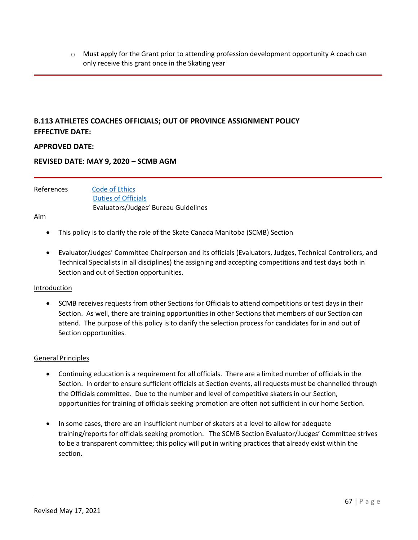$\circ$  Must apply for the Grant prior to attending profession development opportunity A coach can only receive this grant once in the Skating year

# <span id="page-66-0"></span>**B.113 ATHLETES COACHES OFFICIALS; OUT OF PROVINCE ASSIGNMENT POLICY EFFECTIVE DATE:**

# **APPROVED DATE:**

# **REVISED DATE: MAY 9, 2020 – SCMB AGM**

References [Code of Ethics](https://info.skatecanada.ca/index.php/en-ca/policies/79-skate-canada-code-of-ethics.html) [Duties of Officials](https://info.skatecanada.ca/index.php/en-ca/rules-of-sport/31-officials.html#h5-duties-of-officials) Evaluators/Judges' Bureau Guidelines

# Aim

- This policy is to clarify the role of the Skate Canada Manitoba (SCMB) Section
- Evaluator/Judges' Committee Chairperson and its officials (Evaluators, Judges, Technical Controllers, and Technical Specialists in all disciplines) the assigning and accepting competitions and test days both in Section and out of Section opportunities.

#### Introduction

• SCMB receives requests from other Sections for Officials to attend competitions or test days in their Section. As well, there are training opportunities in other Sections that members of our Section can attend. The purpose of this policy is to clarify the selection process for candidates for in and out of Section opportunities.

#### General Principles

- Continuing education is a requirement for all officials. There are a limited number of officials in the Section. In order to ensure sufficient officials at Section events, all requests must be channelled through the Officials committee. Due to the number and level of competitive skaters in our Section, opportunities for training of officials seeking promotion are often not sufficient in our home Section.
- In some cases, there are an insufficient number of skaters at a level to allow for adequate training/reports for officials seeking promotion. The SCMB Section Evaluator/Judges' Committee strives to be a transparent committee; this policy will put in writing practices that already exist within the section.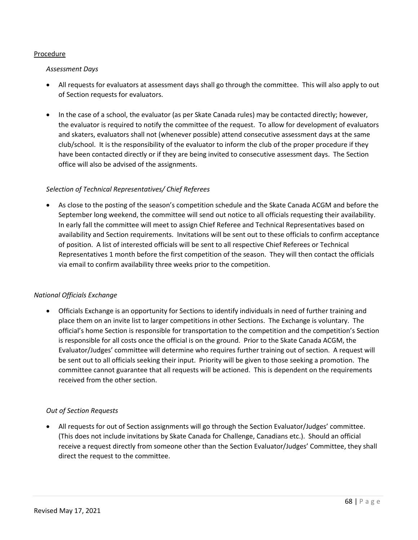# Procedure

# *Assessment Days*

- All requests for evaluators at assessment days shall go through the committee. This will also apply to out of Section requests for evaluators.
- In the case of a school, the evaluator (as per Skate Canada rules) may be contacted directly; however, the evaluator is required to notify the committee of the request. To allow for development of evaluators and skaters, evaluators shall not (whenever possible) attend consecutive assessment days at the same club/school. It is the responsibility of the evaluator to inform the club of the proper procedure if they have been contacted directly or if they are being invited to consecutive assessment days. The Section office will also be advised of the assignments.

# *Selection of Technical Representatives/ Chief Referees*

• As close to the posting of the season's competition schedule and the Skate Canada ACGM and before the September long weekend, the committee will send out notice to all officials requesting their availability. In early fall the committee will meet to assign Chief Referee and Technical Representatives based on availability and Section requirements. Invitations will be sent out to these officials to confirm acceptance of position. A list of interested officials will be sent to all respective Chief Referees or Technical Representatives 1 month before the first competition of the season. They will then contact the officials via email to confirm availability three weeks prior to the competition.

# *National Officials Exchange*

• Officials Exchange is an opportunity for Sections to identify individuals in need of further training and place them on an invite list to larger competitions in other Sections. The Exchange is voluntary. The official's home Section is responsible for transportation to the competition and the competition's Section is responsible for all costs once the official is on the ground. Prior to the Skate Canada ACGM, the Evaluator/Judges' committee will determine who requires further training out of section. A request will be sent out to all officials seeking their input. Priority will be given to those seeking a promotion. The committee cannot guarantee that all requests will be actioned. This is dependent on the requirements received from the other section.

# *Out of Section Requests*

• All requests for out of Section assignments will go through the Section Evaluator/Judges' committee. (This does not include invitations by Skate Canada for Challenge, Canadians etc.). Should an official receive a request directly from someone other than the Section Evaluator/Judges' Committee, they shall direct the request to the committee.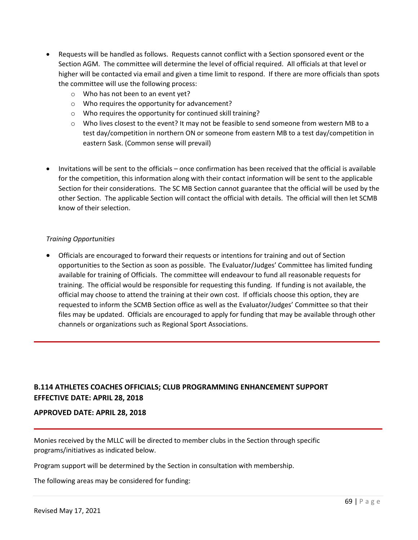- Requests will be handled as follows. Requests cannot conflict with a Section sponsored event or the Section AGM. The committee will determine the level of official required. All officials at that level or higher will be contacted via email and given a time limit to respond. If there are more officials than spots the committee will use the following process:
	- o Who has not been to an event yet?
	- o Who requires the opportunity for advancement?
	- o Who requires the opportunity for continued skill training?
	- $\circ$  Who lives closest to the event? It may not be feasible to send someone from western MB to a test day/competition in northern ON or someone from eastern MB to a test day/competition in eastern Sask. (Common sense will prevail)
- Invitations will be sent to the officials once confirmation has been received that the official is available for the competition, this information along with their contact information will be sent to the applicable Section for their considerations. The SC MB Section cannot guarantee that the official will be used by the other Section. The applicable Section will contact the official with details. The official will then let SCMB know of their selection.

# *Training Opportunities*

• Officials are encouraged to forward their requests or intentions for training and out of Section opportunities to the Section as soon as possible. The Evaluator/Judges' Committee has limited funding available for training of Officials. The committee will endeavour to fund all reasonable requests for training. The official would be responsible for requesting this funding. If funding is not available, the official may choose to attend the training at their own cost. If officials choose this option, they are requested to inform the SCMB Section office as well as the Evaluator/Judges' Committee so that their files may be updated. Officials are encouraged to apply for funding that may be available through other channels or organizations such as Regional Sport Associations.

# <span id="page-68-0"></span>**B.114 ATHLETES COACHES OFFICIALS; CLUB PROGRAMMING ENHANCEMENT SUPPORT EFFECTIVE DATE: APRIL 28, 2018**

# **APPROVED DATE: APRIL 28, 2018**

Monies received by the MLLC will be directed to member clubs in the Section through specific programs/initiatives as indicated below.

Program support will be determined by the Section in consultation with membership.

The following areas may be considered for funding: